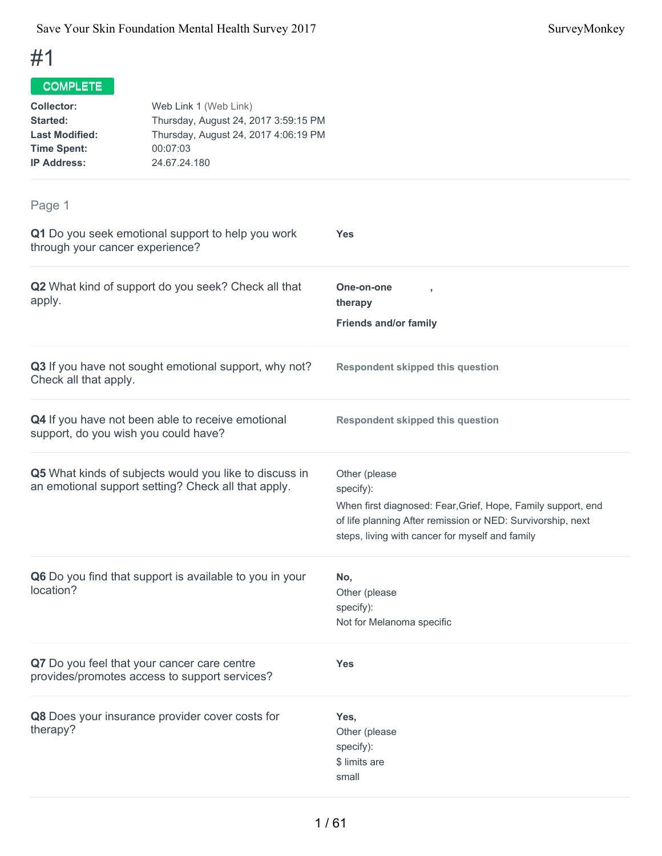| <b>Collector:</b><br><b>Started:</b><br><b>Last Modified:</b><br><b>Time Spent:</b><br><b>IP Address:</b> | Web Link 1 (Web Link)<br>Thursday, August 24, 2017 3:59:15 PM<br>Thursday, August 24, 2017 4:06:19 PM<br>00:07:03<br>24.67.24.180 |                                                                                                                                                                                                              |
|-----------------------------------------------------------------------------------------------------------|-----------------------------------------------------------------------------------------------------------------------------------|--------------------------------------------------------------------------------------------------------------------------------------------------------------------------------------------------------------|
| Page 1                                                                                                    |                                                                                                                                   |                                                                                                                                                                                                              |
| through your cancer experience?                                                                           | Q1 Do you seek emotional support to help you work                                                                                 | <b>Yes</b>                                                                                                                                                                                                   |
| apply.                                                                                                    | Q2 What kind of support do you seek? Check all that                                                                               | One-on-one<br>therapy                                                                                                                                                                                        |
|                                                                                                           |                                                                                                                                   | <b>Friends and/or family</b>                                                                                                                                                                                 |
| Check all that apply.                                                                                     | Q3 If you have not sought emotional support, why not?                                                                             | <b>Respondent skipped this question</b>                                                                                                                                                                      |
|                                                                                                           | Q4 If you have not been able to receive emotional<br>support, do you wish you could have?                                         | <b>Respondent skipped this question</b>                                                                                                                                                                      |
|                                                                                                           | Q5 What kinds of subjects would you like to discuss in<br>an emotional support setting? Check all that apply.                     | Other (please<br>specify):<br>When first diagnosed: Fear, Grief, Hope, Family support, end<br>of life planning After remission or NED: Survivorship, next<br>steps, living with cancer for myself and family |
| location?                                                                                                 | Q6 Do you find that support is available to you in your                                                                           | No,<br>Other (please<br>specify):<br>Not for Melanoma specific                                                                                                                                               |
|                                                                                                           | Q7 Do you feel that your cancer care centre<br>provides/promotes access to support services?                                      | <b>Yes</b>                                                                                                                                                                                                   |
| therapy?                                                                                                  | Q8 Does your insurance provider cover costs for                                                                                   | Yes,<br>Other (please<br>specify):<br>\$ limits are<br>small                                                                                                                                                 |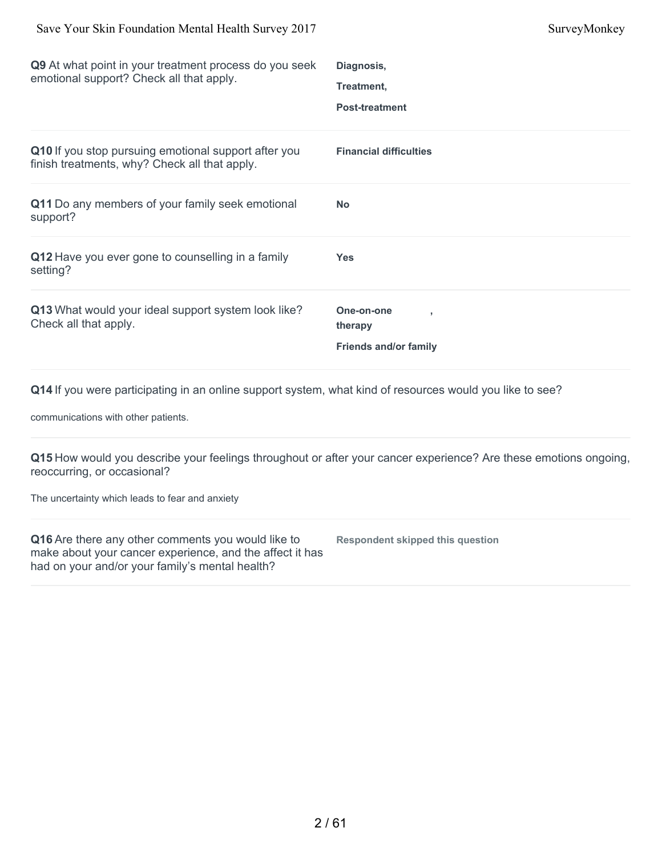| Q9 At what point in your treatment process do you seek<br>emotional support? Check all that apply.                                              | Diagnosis,<br>Treatment,<br><b>Post-treatment</b>                                                               |
|-------------------------------------------------------------------------------------------------------------------------------------------------|-----------------------------------------------------------------------------------------------------------------|
| Q10 If you stop pursuing emotional support after you<br>finish treatments, why? Check all that apply.                                           | <b>Financial difficulties</b>                                                                                   |
| Q11 Do any members of your family seek emotional<br>support?                                                                                    | <b>No</b>                                                                                                       |
| Q12 Have you ever gone to counselling in a family<br>setting?                                                                                   | <b>Yes</b>                                                                                                      |
| Q13 What would your ideal support system look like?<br>Check all that apply.                                                                    | One-on-one<br>therapy<br><b>Friends and/or family</b>                                                           |
| Q14 If you were participating in an online support system, what kind of resources would you like to see?<br>communications with other patients. |                                                                                                                 |
|                                                                                                                                                 | 015 How would you describe your feelings throughout or after your cancer experience? Are these emotions ongoing |

**Q15** How would you describe your feelings throughout or after your cancer experience? Are these emotions ongoing, reoccurring, or occasional?

The uncertainty which leads to fear and anxiety

| Q16 Are there any other comments you would like to       | <b>Respondent skipped this question</b> |
|----------------------------------------------------------|-----------------------------------------|
| make about your cancer experience, and the affect it has |                                         |
| had on your and/or your family's mental health?          |                                         |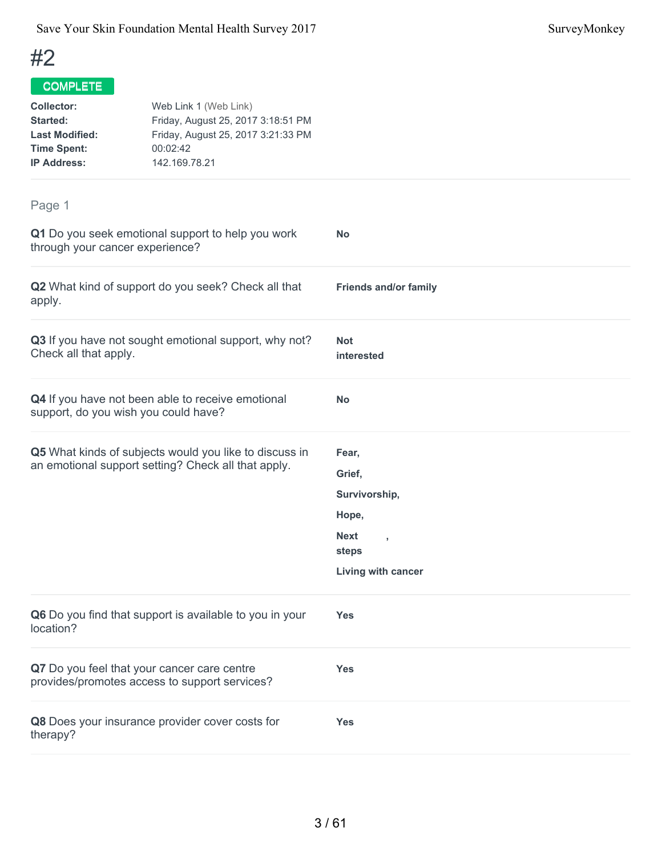| <b>Collector:</b><br>Started:<br><b>Last Modified:</b><br><b>Time Spent:</b><br><b>IP Address:</b> | Web Link 1 (Web Link)<br>Friday, August 25, 2017 3:18:51 PM<br>Friday, August 25, 2017 3:21:33 PM<br>00:02:42<br>142.169.78.21 |                                        |  |
|----------------------------------------------------------------------------------------------------|--------------------------------------------------------------------------------------------------------------------------------|----------------------------------------|--|
| Page 1                                                                                             |                                                                                                                                |                                        |  |
| through your cancer experience?                                                                    | Q1 Do you seek emotional support to help you work                                                                              | <b>No</b>                              |  |
| apply.                                                                                             | Q2 What kind of support do you seek? Check all that                                                                            | <b>Friends and/or family</b>           |  |
| Check all that apply.                                                                              | Q3 If you have not sought emotional support, why not?                                                                          | <b>Not</b><br>interested               |  |
|                                                                                                    | Q4 If you have not been able to receive emotional<br>support, do you wish you could have?                                      | <b>No</b>                              |  |
|                                                                                                    | Q5 What kinds of subjects would you like to discuss in                                                                         | Fear,                                  |  |
|                                                                                                    | an emotional support setting? Check all that apply.                                                                            | Grief,                                 |  |
|                                                                                                    |                                                                                                                                | Survivorship,                          |  |
|                                                                                                    |                                                                                                                                | Hope,                                  |  |
|                                                                                                    |                                                                                                                                | <b>Next</b><br>$\overline{1}$<br>steps |  |
|                                                                                                    |                                                                                                                                | Living with cancer                     |  |
| location?                                                                                          | Q6 Do you find that support is available to you in your                                                                        | <b>Yes</b>                             |  |
|                                                                                                    | Q7 Do you feel that your cancer care centre<br>provides/promotes access to support services?                                   | <b>Yes</b>                             |  |
| therapy?                                                                                           | Q8 Does your insurance provider cover costs for                                                                                | <b>Yes</b>                             |  |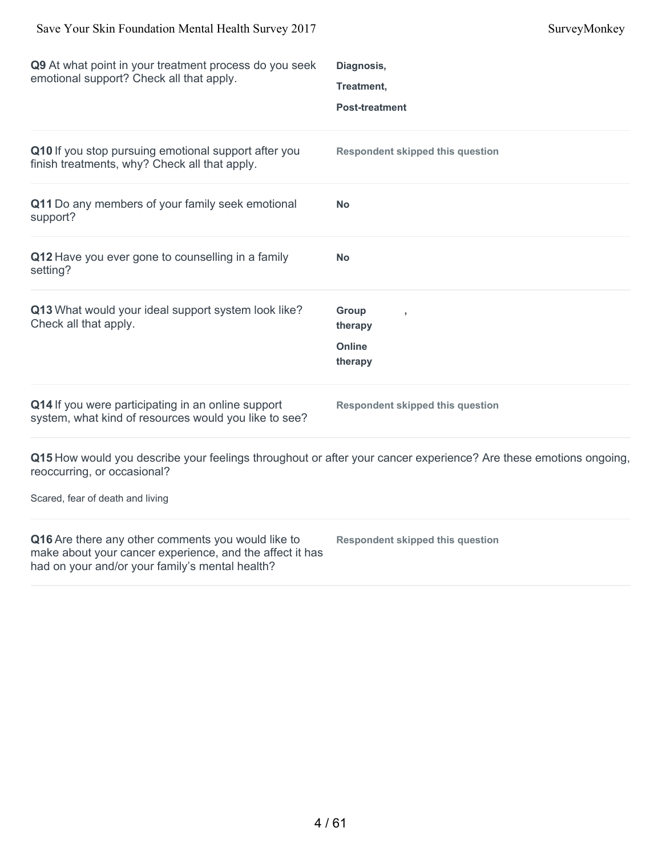| Q9 At what point in your treatment process do you seek<br>emotional support? Check all that apply.                                                                | Diagnosis,<br>Treatment,<br><b>Post-treatment</b>                                                                |
|-------------------------------------------------------------------------------------------------------------------------------------------------------------------|------------------------------------------------------------------------------------------------------------------|
| Q10 If you stop pursuing emotional support after you<br>finish treatments, why? Check all that apply.                                                             | <b>Respondent skipped this question</b>                                                                          |
| Q11 Do any members of your family seek emotional<br>support?                                                                                                      | No                                                                                                               |
| Q12 Have you ever gone to counselling in a family<br>setting?                                                                                                     | <b>No</b>                                                                                                        |
| Q13 What would your ideal support system look like?<br>Check all that apply.                                                                                      | <b>Group</b><br>therapy<br>Online<br>therapy                                                                     |
| Q14 If you were participating in an online support<br>system, what kind of resources would you like to see?                                                       | <b>Respondent skipped this question</b>                                                                          |
| reoccurring, or occasional?<br>Scared, fear of death and living                                                                                                   | Q15 How would you describe your feelings throughout or after your cancer experience? Are these emotions ongoing, |
|                                                                                                                                                                   |                                                                                                                  |
| Q16 Are there any other comments you would like to<br>make about your cancer experience, and the affect it has<br>had on your and/or your family's mental health? | <b>Respondent skipped this question</b>                                                                          |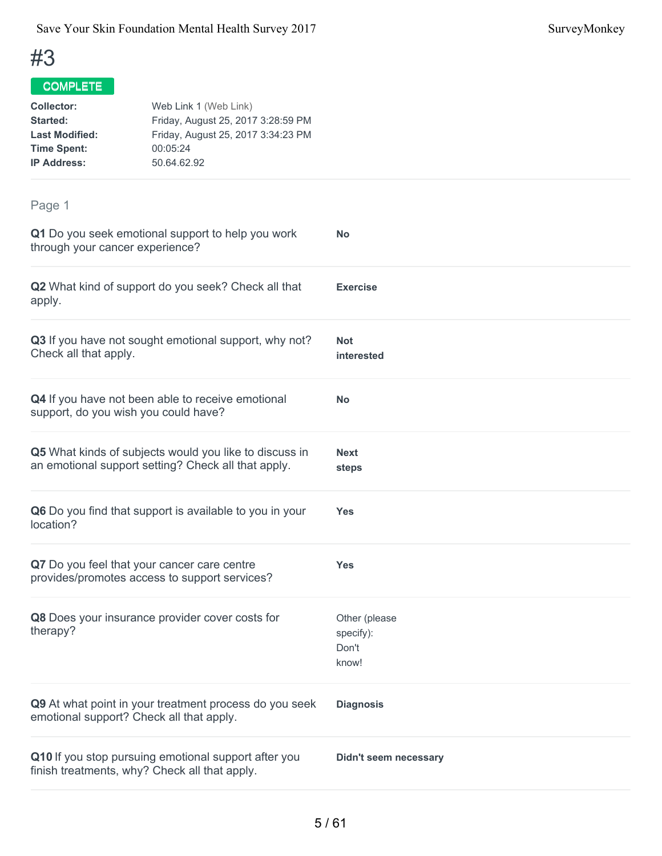| <b>Collector:</b><br><b>Started:</b><br><b>Last Modified:</b><br><b>Time Spent:</b><br><b>IP Address:</b>     | Web Link 1 (Web Link)<br>Friday, August 25, 2017 3:28:59 PM<br>Friday, August 25, 2017 3:34:23 PM<br>00:05:24<br>50.64.62.92 |                                              |
|---------------------------------------------------------------------------------------------------------------|------------------------------------------------------------------------------------------------------------------------------|----------------------------------------------|
| Page 1                                                                                                        |                                                                                                                              |                                              |
| through your cancer experience?                                                                               | Q1 Do you seek emotional support to help you work                                                                            | <b>No</b>                                    |
| apply.                                                                                                        | Q2 What kind of support do you seek? Check all that                                                                          | <b>Exercise</b>                              |
| Check all that apply.                                                                                         | Q3 If you have not sought emotional support, why not?                                                                        | <b>Not</b><br>interested                     |
| support, do you wish you could have?                                                                          | Q4 If you have not been able to receive emotional                                                                            | <b>No</b>                                    |
| Q5 What kinds of subjects would you like to discuss in<br>an emotional support setting? Check all that apply. |                                                                                                                              | <b>Next</b><br>steps                         |
| Q6 Do you find that support is available to you in your<br>location?                                          |                                                                                                                              | <b>Yes</b>                                   |
| Q7 Do you feel that your cancer care centre                                                                   | provides/promotes access to support services?                                                                                | <b>Yes</b>                                   |
| therapy?                                                                                                      | Q8 Does your insurance provider cover costs for                                                                              | Other (please<br>specify):<br>Don't<br>know! |
| emotional support? Check all that apply.                                                                      | Q9 At what point in your treatment process do you seek                                                                       | <b>Diagnosis</b>                             |
| finish treatments, why? Check all that apply.                                                                 | Q10 If you stop pursuing emotional support after you                                                                         | <b>Didn't seem necessary</b>                 |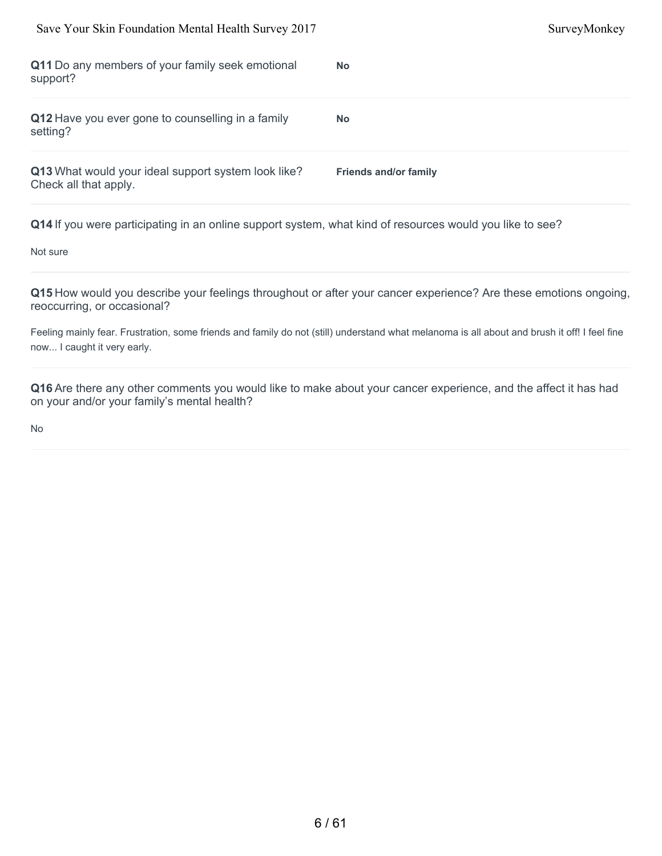| Save Your Skin Foundation Mental Health Survey 2017                          | SurveyMonkey                 |
|------------------------------------------------------------------------------|------------------------------|
| Q11 Do any members of your family seek emotional<br>support?                 | <b>No</b>                    |
| Q12 Have you ever gone to counselling in a family<br>setting?                | <b>No</b>                    |
| Q13 What would your ideal support system look like?<br>Check all that apply. | <b>Friends and/or family</b> |

Not sure

**Q15** How would you describe your feelings throughout or after your cancer experience? Are these emotions ongoing, reoccurring, or occasional?

Feeling mainly fear. Frustration, some friends and family do not (still) understand what melanoma is all about and brush it off! I feel fine now... I caught it very early.

**Q16** Are there any other comments you would like to make about your cancer experience, and the affect it has had on your and/or your family's mental health?

No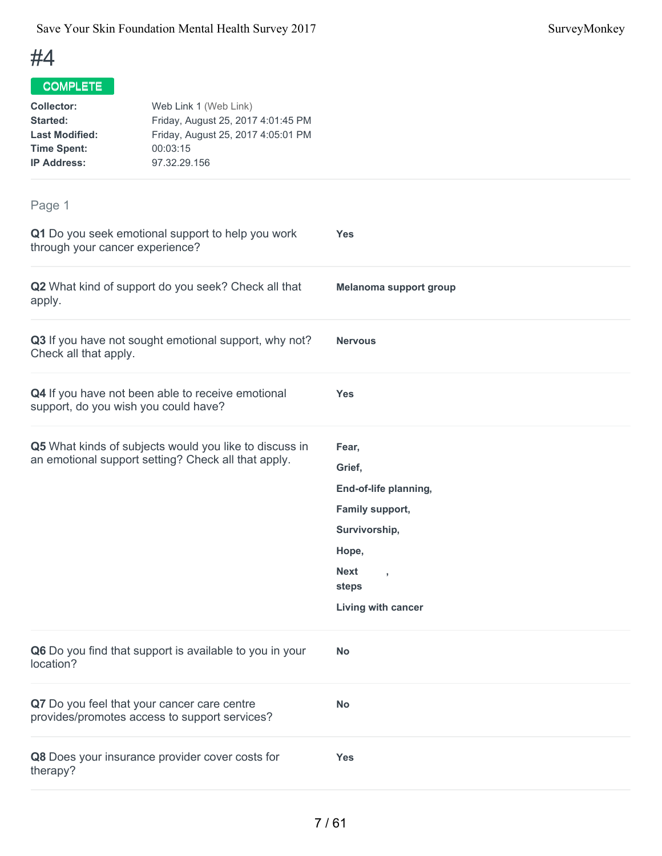| <b>Collector:</b><br><b>Started:</b><br><b>Last Modified:</b><br><b>Time Spent:</b><br><b>IP Address:</b> | Web Link 1 (Web Link)<br>Friday, August 25, 2017 4:01:45 PM<br>Friday, August 25, 2017 4:05:01 PM<br>00:03:15<br>97.32.29.156 |                                                                                                                                             |
|-----------------------------------------------------------------------------------------------------------|-------------------------------------------------------------------------------------------------------------------------------|---------------------------------------------------------------------------------------------------------------------------------------------|
| Page 1                                                                                                    |                                                                                                                               |                                                                                                                                             |
| through your cancer experience?                                                                           | Q1 Do you seek emotional support to help you work                                                                             | <b>Yes</b>                                                                                                                                  |
| apply.                                                                                                    | Q2 What kind of support do you seek? Check all that                                                                           | Melanoma support group                                                                                                                      |
| Check all that apply.                                                                                     | Q3 If you have not sought emotional support, why not?                                                                         | <b>Nervous</b>                                                                                                                              |
| support, do you wish you could have?                                                                      | Q4 If you have not been able to receive emotional                                                                             | <b>Yes</b>                                                                                                                                  |
|                                                                                                           | Q5 What kinds of subjects would you like to discuss in<br>an emotional support setting? Check all that apply.                 | Fear,<br>Grief,<br>End-of-life planning,<br>Family support,<br>Survivorship,<br>Hope,<br><b>Next</b><br>$\,$<br>steps<br>Living with cancer |
| location?                                                                                                 | Q6 Do you find that support is available to you in your                                                                       | <b>No</b>                                                                                                                                   |
| Q7 Do you feel that your cancer care centre                                                               | provides/promotes access to support services?                                                                                 | <b>No</b>                                                                                                                                   |
| therapy?                                                                                                  | Q8 Does your insurance provider cover costs for                                                                               | <b>Yes</b>                                                                                                                                  |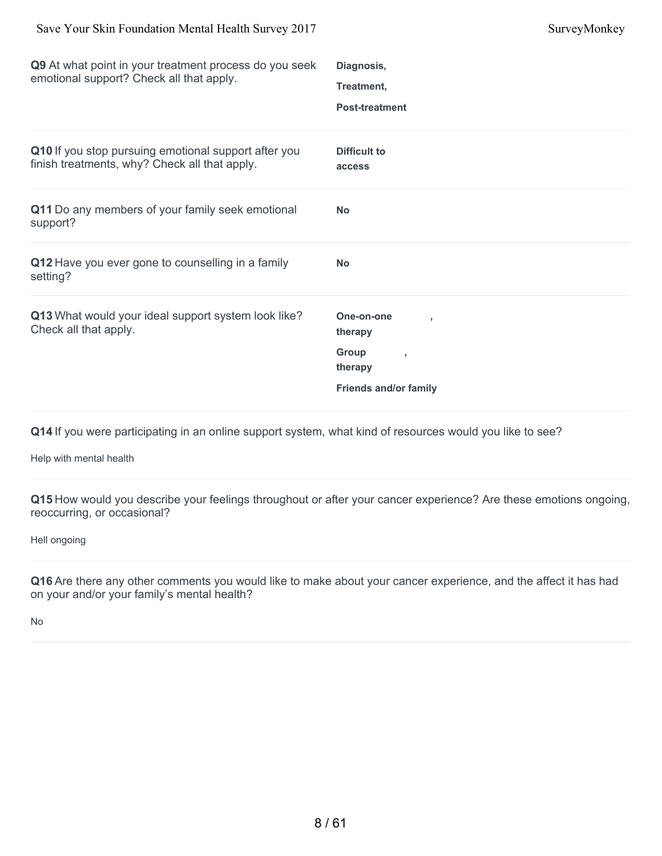| Q9 At what point in your treatment process do you seek<br>emotional support? Check all that apply.    | Diagnosis,                    |
|-------------------------------------------------------------------------------------------------------|-------------------------------|
|                                                                                                       | Treatment,                    |
|                                                                                                       | <b>Post-treatment</b>         |
| Q10 If you stop pursuing emotional support after you<br>finish treatments, why? Check all that apply. | <b>Difficult to</b><br>access |
| Q11 Do any members of your family seek emotional<br>support?                                          | <b>No</b>                     |
| Q12 Have you ever gone to counselling in a family<br>setting?                                         | <b>No</b>                     |
| Q13 What would your ideal support system look like?<br>Check all that apply.                          | One-on-one<br>therapy         |
|                                                                                                       | Group<br>therapy              |
|                                                                                                       | <b>Friends and/or family</b>  |
|                                                                                                       |                               |

Help with mental health

**Q15** How would you describe your feelings throughout or after your cancer experience? Are these emotions ongoing, reoccurring, or occasional?

Hell ongoing

**Q16** Are there any other comments you would like to make about your cancer experience, and the affect it has had on your and/or your family's mental health?

No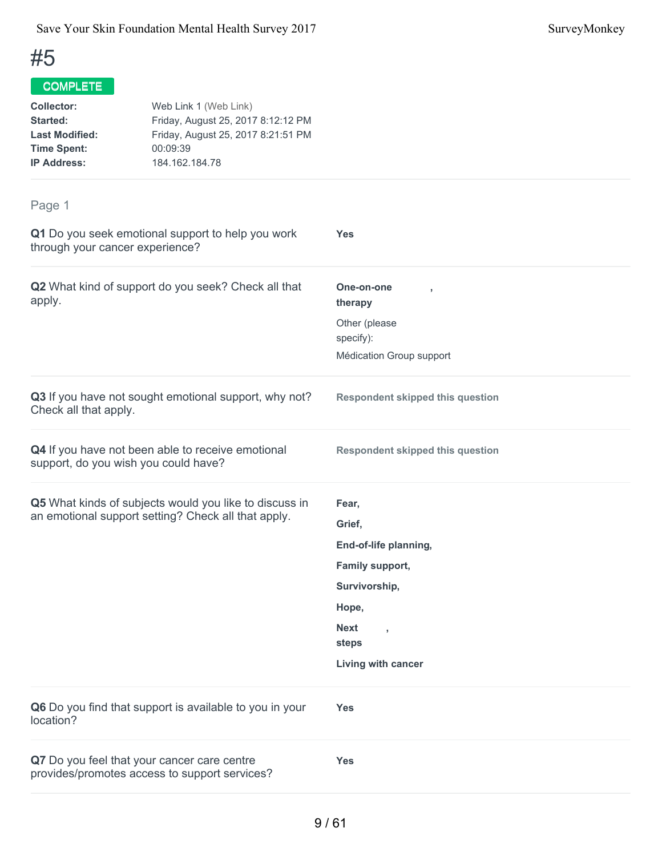| <b>Collector:</b><br><b>Started:</b><br><b>Last Modified:</b><br><b>Time Spent:</b><br><b>IP Address:</b> | Web Link 1 (Web Link)<br>Friday, August 25, 2017 8:12:12 PM<br>Friday, August 25, 2017 8:21:51 PM<br>00:09:39<br>184.162.184.78 |                                         |
|-----------------------------------------------------------------------------------------------------------|---------------------------------------------------------------------------------------------------------------------------------|-----------------------------------------|
| Page 1                                                                                                    |                                                                                                                                 |                                         |
| through your cancer experience?                                                                           | Q1 Do you seek emotional support to help you work                                                                               | <b>Yes</b>                              |
| apply.                                                                                                    | Q2 What kind of support do you seek? Check all that                                                                             | One-on-one<br>therapy                   |
|                                                                                                           |                                                                                                                                 | Other (please                           |
|                                                                                                           |                                                                                                                                 | specify):                               |
|                                                                                                           |                                                                                                                                 | Médication Group support                |
| Check all that apply.                                                                                     | Q3 If you have not sought emotional support, why not?                                                                           | <b>Respondent skipped this question</b> |
|                                                                                                           | Q4 If you have not been able to receive emotional<br>support, do you wish you could have?                                       | <b>Respondent skipped this question</b> |
|                                                                                                           | Q5 What kinds of subjects would you like to discuss in                                                                          | Fear,                                   |
|                                                                                                           | an emotional support setting? Check all that apply.                                                                             | Grief,                                  |
|                                                                                                           |                                                                                                                                 | End-of-life planning,                   |
|                                                                                                           |                                                                                                                                 | Family support,                         |
|                                                                                                           |                                                                                                                                 | Survivorship,                           |
|                                                                                                           |                                                                                                                                 | Hope,                                   |
|                                                                                                           |                                                                                                                                 | <b>Next</b><br>y                        |
|                                                                                                           |                                                                                                                                 | steps                                   |
|                                                                                                           |                                                                                                                                 | Living with cancer                      |
| location?                                                                                                 | Q6 Do you find that support is available to you in your                                                                         | <b>Yes</b>                              |
|                                                                                                           | Q7 Do you feel that your cancer care centre<br>provides/promotes access to support services?                                    | <b>Yes</b>                              |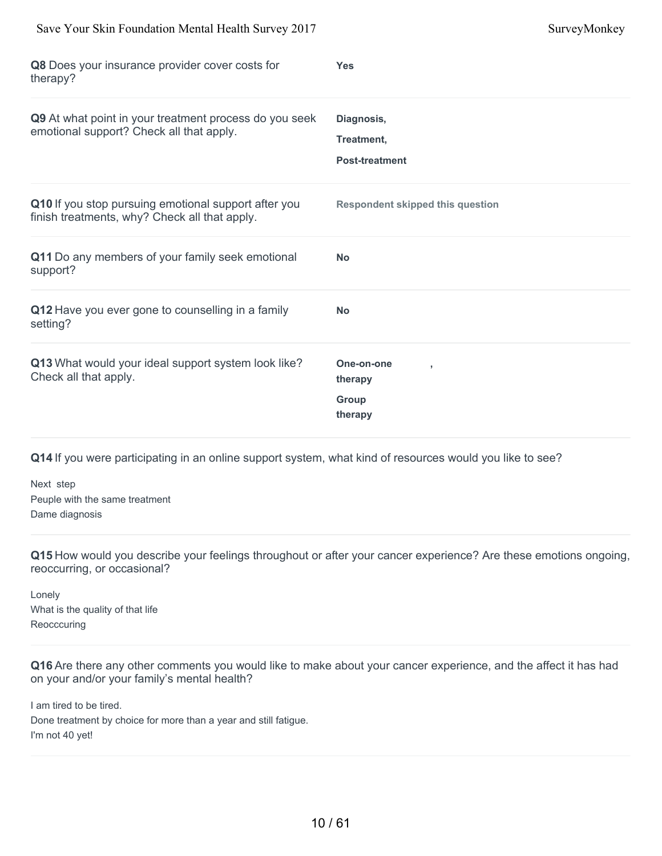| Save Your Skin Foundation Mental Health Survey 2017                                                   | SurveyMonkey                                                |
|-------------------------------------------------------------------------------------------------------|-------------------------------------------------------------|
| Q8 Does your insurance provider cover costs for<br>therapy?                                           | <b>Yes</b>                                                  |
| Q9 At what point in your treatment process do you seek<br>emotional support? Check all that apply.    | Diagnosis,<br>Treatment,<br><b>Post-treatment</b>           |
| Q10 If you stop pursuing emotional support after you<br>finish treatments, why? Check all that apply. | <b>Respondent skipped this question</b>                     |
| Q11 Do any members of your family seek emotional<br>support?                                          | <b>No</b>                                                   |
| Q12 Have you ever gone to counselling in a family<br>setting?                                         | <b>No</b>                                                   |
| Q13 What would your ideal support system look like?<br>Check all that apply.                          | One-on-one<br>$\overline{1}$<br>therapy<br>Group<br>therapy |

Next step Peuple with the same treatment Dame diagnosis

**Q15** How would you describe your feelings throughout or after your cancer experience? Are these emotions ongoing, reoccurring, or occasional?

Lonely What is the quality of that life **Reocccuring** 

**Q16** Are there any other comments you would like to make about your cancer experience, and the affect it has had on your and/or your family's mental health?

I am tired to be tired. Done treatment by choice for more than a year and still fatigue. I'm not 40 yet!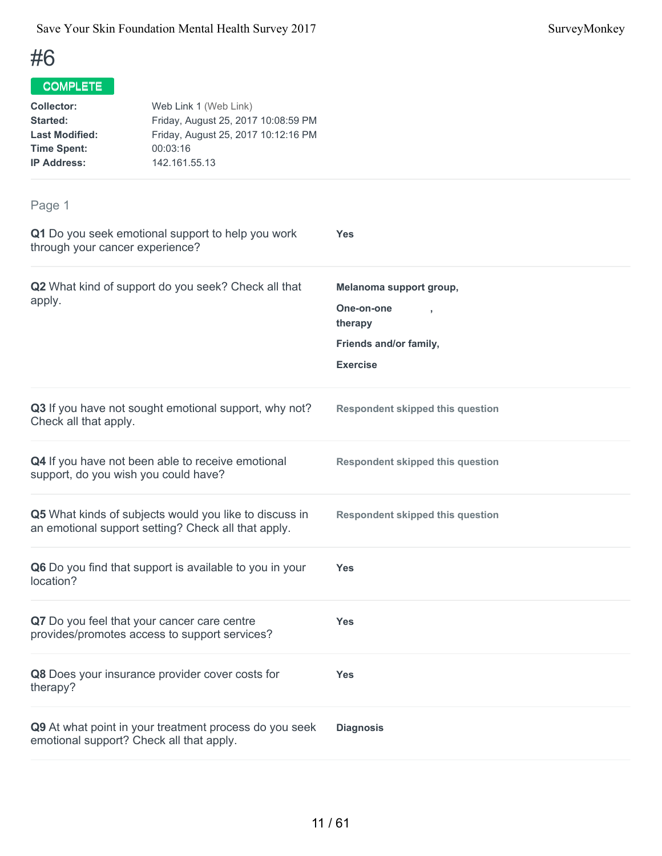| <b>Collector:</b><br><b>Started:</b><br><b>Last Modified:</b><br><b>Time Spent:</b><br><b>IP Address:</b> | Web Link 1 (Web Link)<br>Friday, August 25, 2017 10:08:59 PM<br>Friday, August 25, 2017 10:12:16 PM<br>00:03:16<br>142.161.55.13 |                                         |
|-----------------------------------------------------------------------------------------------------------|----------------------------------------------------------------------------------------------------------------------------------|-----------------------------------------|
| Page 1                                                                                                    |                                                                                                                                  |                                         |
| through your cancer experience?                                                                           | Q1 Do you seek emotional support to help you work                                                                                | <b>Yes</b>                              |
|                                                                                                           | Q2 What kind of support do you seek? Check all that                                                                              | Melanoma support group,                 |
| apply.                                                                                                    |                                                                                                                                  | One-on-one<br>therapy                   |
|                                                                                                           |                                                                                                                                  | Friends and/or family,                  |
|                                                                                                           |                                                                                                                                  | <b>Exercise</b>                         |
| Check all that apply.                                                                                     | Q3 If you have not sought emotional support, why not?                                                                            | <b>Respondent skipped this question</b> |
|                                                                                                           | Q4 If you have not been able to receive emotional<br>support, do you wish you could have?                                        | <b>Respondent skipped this question</b> |
|                                                                                                           | Q5 What kinds of subjects would you like to discuss in<br>an emotional support setting? Check all that apply.                    | <b>Respondent skipped this question</b> |
| location?                                                                                                 | Q6 Do you find that support is available to you in your                                                                          | <b>Yes</b>                              |
|                                                                                                           | Q7 Do you feel that your cancer care centre<br>provides/promotes access to support services?                                     | <b>Yes</b>                              |
| therapy?                                                                                                  | Q8 Does your insurance provider cover costs for                                                                                  | <b>Yes</b>                              |
| Q9 At what point in your treatment process do you seek<br>emotional support? Check all that apply.        |                                                                                                                                  | <b>Diagnosis</b>                        |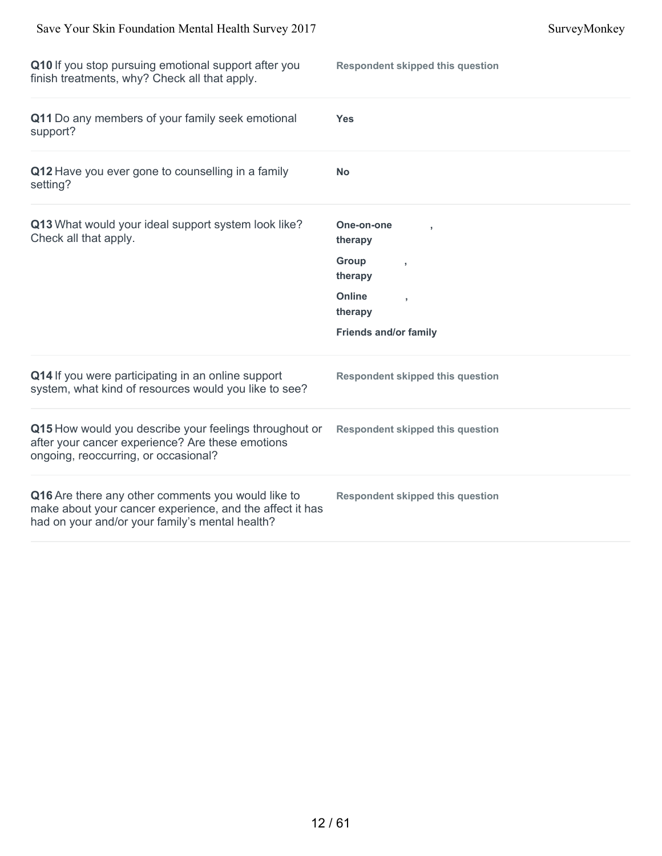| Q10 If you stop pursuing emotional support after you<br>finish treatments, why? Check all that apply.                                                             | <b>Respondent skipped this question</b> |
|-------------------------------------------------------------------------------------------------------------------------------------------------------------------|-----------------------------------------|
| Q11 Do any members of your family seek emotional<br>support?                                                                                                      | <b>Yes</b>                              |
| Q12 Have you ever gone to counselling in a family<br>setting?                                                                                                     | <b>No</b>                               |
| Q13 What would your ideal support system look like?<br>Check all that apply.                                                                                      | One-on-one<br>therapy                   |
|                                                                                                                                                                   | Group<br>٠<br>therapy                   |
|                                                                                                                                                                   | Online<br>ł,<br>therapy                 |
|                                                                                                                                                                   | <b>Friends and/or family</b>            |
| Q14 If you were participating in an online support<br>system, what kind of resources would you like to see?                                                       | <b>Respondent skipped this question</b> |
| Q15 How would you describe your feelings throughout or<br>after your cancer experience? Are these emotions<br>ongoing, reoccurring, or occasional?                | <b>Respondent skipped this question</b> |
| Q16 Are there any other comments you would like to<br>make about your cancer experience, and the affect it has<br>had on your and/or your family's mental health? | <b>Respondent skipped this question</b> |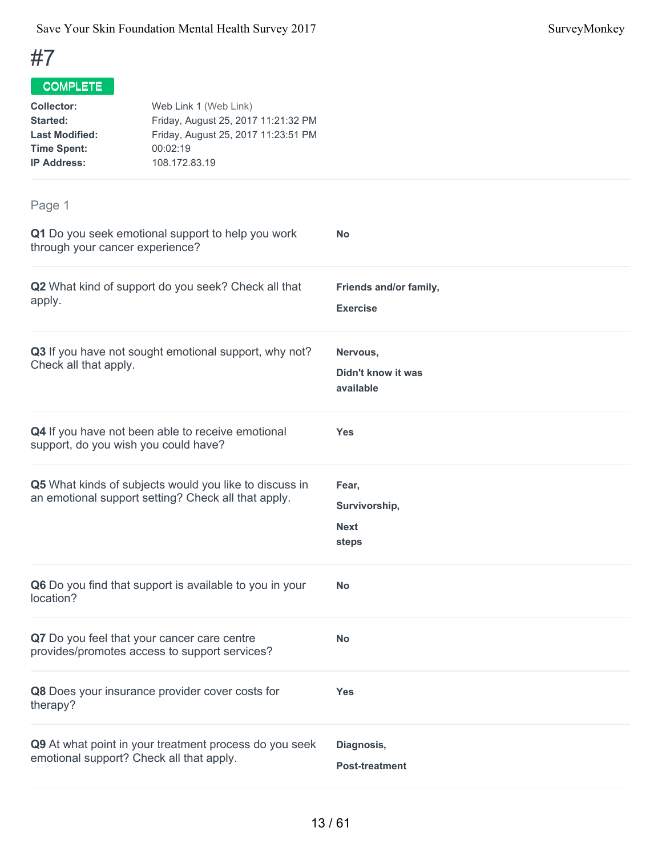| <b>Collector:</b><br>Started:<br><b>Last Modified:</b><br><b>Time Spent:</b><br><b>IP Address:</b> | Web Link 1 (Web Link)<br>Friday, August 25, 2017 11:21:32 PM<br>Friday, August 25, 2017 11:23:51 PM<br>00:02:19<br>108.172.83.19 |                                                |  |
|----------------------------------------------------------------------------------------------------|----------------------------------------------------------------------------------------------------------------------------------|------------------------------------------------|--|
| Page 1                                                                                             |                                                                                                                                  |                                                |  |
| through your cancer experience?                                                                    | Q1 Do you seek emotional support to help you work                                                                                | <b>No</b>                                      |  |
| apply.                                                                                             | Q2 What kind of support do you seek? Check all that                                                                              | Friends and/or family,<br><b>Exercise</b>      |  |
| Check all that apply.                                                                              | Q3 If you have not sought emotional support, why not?                                                                            | Nervous,<br>Didn't know it was<br>available    |  |
| support, do you wish you could have?                                                               | Q4 If you have not been able to receive emotional                                                                                | <b>Yes</b>                                     |  |
|                                                                                                    | Q5 What kinds of subjects would you like to discuss in<br>an emotional support setting? Check all that apply.                    | Fear,<br>Survivorship,<br><b>Next</b><br>steps |  |
| location?                                                                                          | Q6 Do you find that support is available to you in your                                                                          | No                                             |  |
|                                                                                                    | Q7 Do you feel that your cancer care centre<br>provides/promotes access to support services?                                     | No                                             |  |
| therapy?                                                                                           | Q8 Does your insurance provider cover costs for                                                                                  | <b>Yes</b>                                     |  |
| emotional support? Check all that apply.                                                           | Q9 At what point in your treatment process do you seek                                                                           | Diagnosis,<br><b>Post-treatment</b>            |  |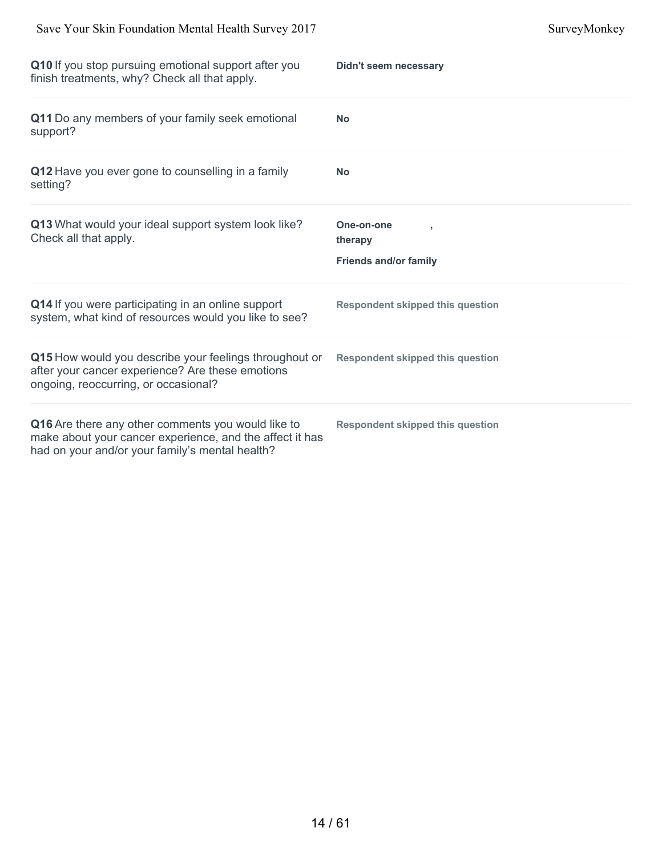| Q11 Do any members of your family seek emotional<br><b>No</b><br>support?<br>Q12 Have you ever gone to counselling in a family<br><b>No</b><br>setting?<br>Q13 What would your ideal support system look like?<br>One-on-one<br>Check all that apply.<br>therapy<br><b>Friends and/or family</b><br>Q14 If you were participating in an online support<br><b>Respondent skipped this question</b><br>system, what kind of resources would you like to see?<br>Q15 How would you describe your feelings throughout or<br><b>Respondent skipped this question</b><br>after your cancer experience? Are these emotions<br>ongoing, reoccurring, or occasional?<br>Q16 Are there any other comments you would like to<br><b>Respondent skipped this question</b><br>make about your cancer experience, and the affect it has<br>had on your and/or your family's mental health? | Q10 If you stop pursuing emotional support after you<br>finish treatments, why? Check all that apply. | Didn't seem necessary |
|-----------------------------------------------------------------------------------------------------------------------------------------------------------------------------------------------------------------------------------------------------------------------------------------------------------------------------------------------------------------------------------------------------------------------------------------------------------------------------------------------------------------------------------------------------------------------------------------------------------------------------------------------------------------------------------------------------------------------------------------------------------------------------------------------------------------------------------------------------------------------------|-------------------------------------------------------------------------------------------------------|-----------------------|
|                                                                                                                                                                                                                                                                                                                                                                                                                                                                                                                                                                                                                                                                                                                                                                                                                                                                             |                                                                                                       |                       |
|                                                                                                                                                                                                                                                                                                                                                                                                                                                                                                                                                                                                                                                                                                                                                                                                                                                                             |                                                                                                       |                       |
|                                                                                                                                                                                                                                                                                                                                                                                                                                                                                                                                                                                                                                                                                                                                                                                                                                                                             |                                                                                                       |                       |
|                                                                                                                                                                                                                                                                                                                                                                                                                                                                                                                                                                                                                                                                                                                                                                                                                                                                             |                                                                                                       |                       |
|                                                                                                                                                                                                                                                                                                                                                                                                                                                                                                                                                                                                                                                                                                                                                                                                                                                                             |                                                                                                       |                       |
|                                                                                                                                                                                                                                                                                                                                                                                                                                                                                                                                                                                                                                                                                                                                                                                                                                                                             |                                                                                                       |                       |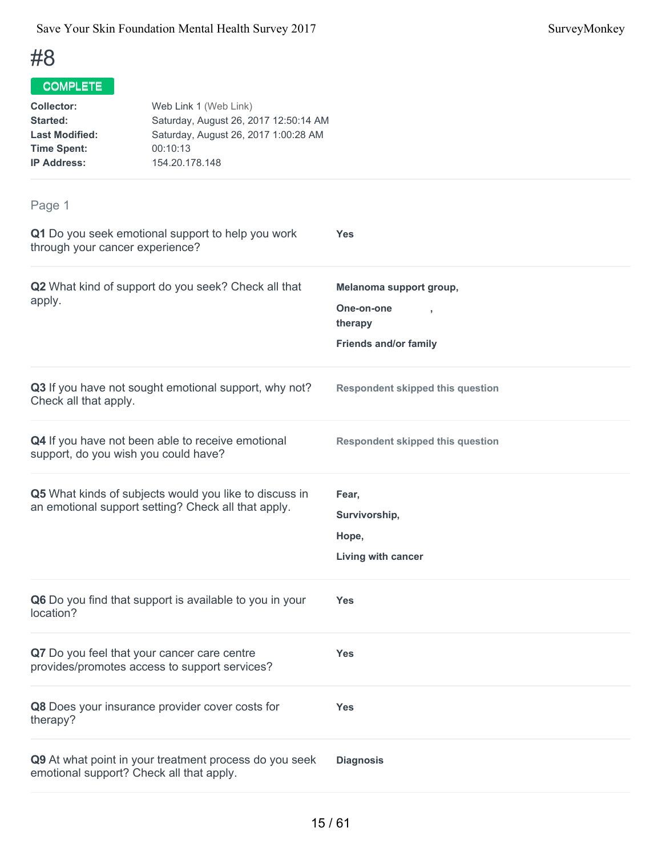| <b>Collector:</b><br><b>Started:</b><br><b>Last Modified:</b><br><b>Time Spent:</b><br><b>IP Address:</b> | Web Link 1 (Web Link)<br>Saturday, August 26, 2017 12:50:14 AM<br>Saturday, August 26, 2017 1:00:28 AM<br>00:10:13<br>154.20.178.148 |                                                                                                    |  |
|-----------------------------------------------------------------------------------------------------------|--------------------------------------------------------------------------------------------------------------------------------------|----------------------------------------------------------------------------------------------------|--|
| Page 1                                                                                                    |                                                                                                                                      |                                                                                                    |  |
| through your cancer experience?                                                                           | Q1 Do you seek emotional support to help you work                                                                                    | <b>Yes</b>                                                                                         |  |
| apply.                                                                                                    | Q2 What kind of support do you seek? Check all that                                                                                  | Melanoma support group,<br>One-on-one<br>$\overline{1}$<br>therapy<br><b>Friends and/or family</b> |  |
| Check all that apply.                                                                                     | Q3 If you have not sought emotional support, why not?                                                                                | <b>Respondent skipped this question</b>                                                            |  |
| support, do you wish you could have?                                                                      | Q4 If you have not been able to receive emotional                                                                                    | <b>Respondent skipped this question</b>                                                            |  |
|                                                                                                           | Q5 What kinds of subjects would you like to discuss in<br>an emotional support setting? Check all that apply.                        | Fear,<br>Survivorship,<br>Hope,<br>Living with cancer                                              |  |
| location?                                                                                                 | Q6 Do you find that support is available to you in your                                                                              | <b>Yes</b>                                                                                         |  |
|                                                                                                           | Q7 Do you feel that your cancer care centre<br>provides/promotes access to support services?                                         | <b>Yes</b>                                                                                         |  |
| therapy?                                                                                                  | Q8 Does your insurance provider cover costs for                                                                                      | <b>Yes</b>                                                                                         |  |
| emotional support? Check all that apply.                                                                  | Q9 At what point in your treatment process do you seek                                                                               | <b>Diagnosis</b>                                                                                   |  |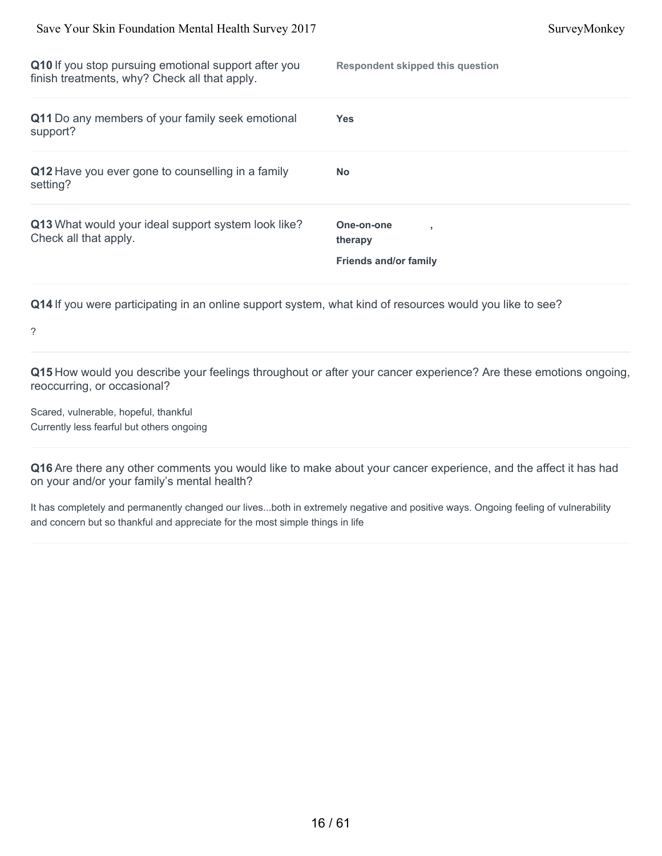| Q10 If you stop pursuing emotional support after you<br>finish treatments, why? Check all that apply. | <b>Respondent skipped this question</b>               |
|-------------------------------------------------------------------------------------------------------|-------------------------------------------------------|
| Q11 Do any members of your family seek emotional<br>support?                                          | <b>Yes</b>                                            |
| Q12 Have you ever gone to counselling in a family<br>setting?                                         | <b>No</b>                                             |
| Q13 What would your ideal support system look like?<br>Check all that apply.                          | One-on-one<br>therapy<br><b>Friends and/or family</b> |

?

**Q15** How would you describe your feelings throughout or after your cancer experience? Are these emotions ongoing, reoccurring, or occasional?

Scared, vulnerable, hopeful, thankful Currently less fearful but others ongoing

**Q16** Are there any other comments you would like to make about your cancer experience, and the affect it has had on your and/or your family's mental health?

It has completely and permanently changed our lives...both in extremely negative and positive ways. Ongoing feeling of vulnerability and concern but so thankful and appreciate for the most simple things in life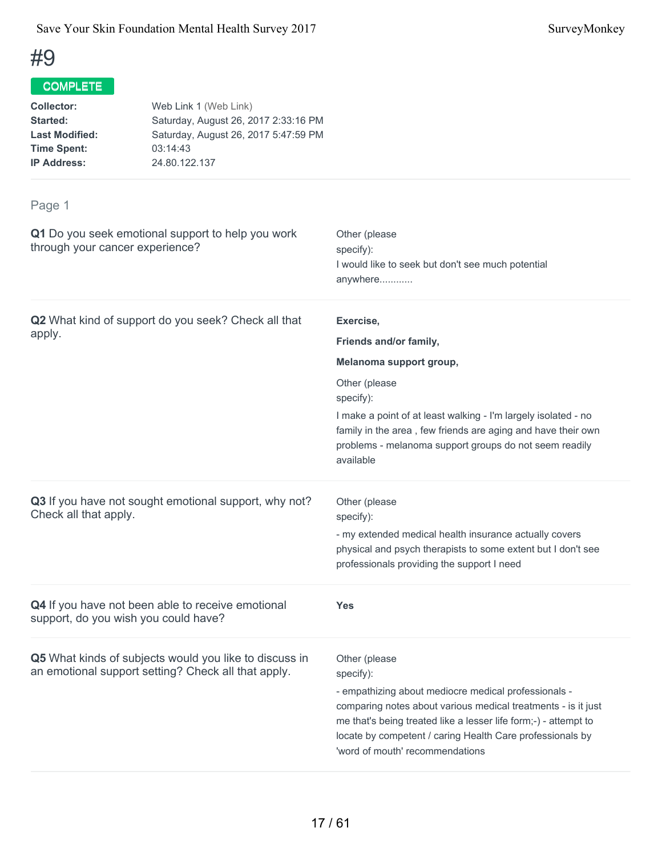## COMPLETE

| <b>Collector:</b>     | Web Link 1 (Web Link)                |
|-----------------------|--------------------------------------|
| Started:              | Saturday, August 26, 2017 2:33:16 PM |
| <b>Last Modified:</b> | Saturday, August 26, 2017 5:47:59 PM |
| <b>Time Spent:</b>    | 03:14:43                             |
| <b>IP Address:</b>    | 24.80.122.137                        |
|                       |                                      |

| Q1 Do you seek emotional support to help you work<br>through your cancer experience?                          | Other (please<br>specify):<br>I would like to seek but don't see much potential<br>anywhere                                                                                                                                                                                                                            |
|---------------------------------------------------------------------------------------------------------------|------------------------------------------------------------------------------------------------------------------------------------------------------------------------------------------------------------------------------------------------------------------------------------------------------------------------|
| Q2 What kind of support do you seek? Check all that                                                           | Exercise,                                                                                                                                                                                                                                                                                                              |
| apply.                                                                                                        | Friends and/or family,                                                                                                                                                                                                                                                                                                 |
|                                                                                                               | Melanoma support group,                                                                                                                                                                                                                                                                                                |
|                                                                                                               | Other (please<br>specify):                                                                                                                                                                                                                                                                                             |
|                                                                                                               | I make a point of at least walking - I'm largely isolated - no<br>family in the area, few friends are aging and have their own<br>problems - melanoma support groups do not seem readily<br>available                                                                                                                  |
| Q3 If you have not sought emotional support, why not?<br>Check all that apply.                                | Other (please<br>specify):<br>- my extended medical health insurance actually covers<br>physical and psych therapists to some extent but I don't see<br>professionals providing the support I need                                                                                                                     |
| Q4 If you have not been able to receive emotional<br>support, do you wish you could have?                     | <b>Yes</b>                                                                                                                                                                                                                                                                                                             |
| Q5 What kinds of subjects would you like to discuss in<br>an emotional support setting? Check all that apply. | Other (please<br>specify):<br>- empathizing about mediocre medical professionals -<br>comparing notes about various medical treatments - is it just<br>me that's being treated like a lesser life form;-) - attempt to<br>locate by competent / caring Health Care professionals by<br>'word of mouth' recommendations |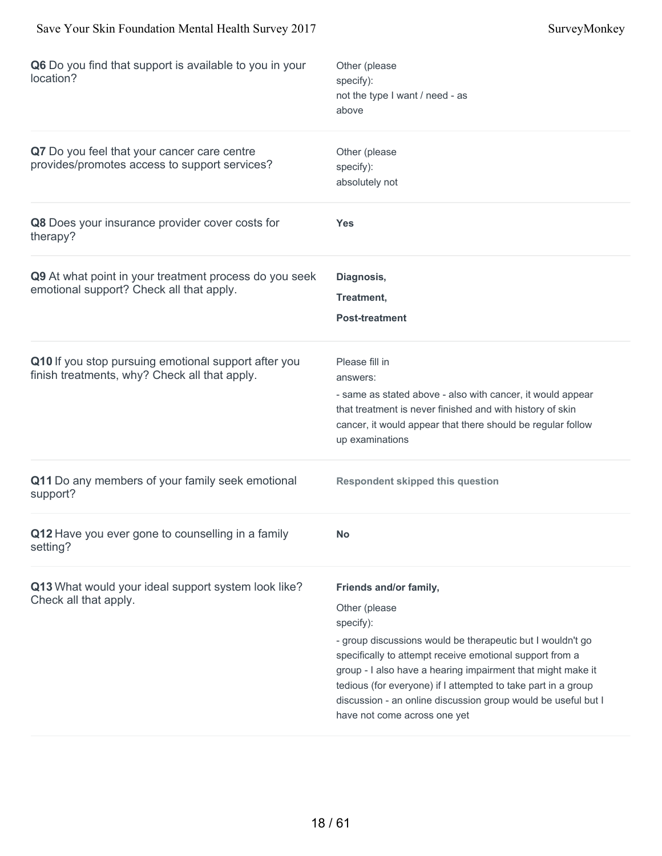| Q6 Do you find that support is available to you in your<br>location?                                  | Other (please<br>specify):<br>not the type I want / need - as<br>above                                                                                                                                                                                                                                                                                                                                          |
|-------------------------------------------------------------------------------------------------------|-----------------------------------------------------------------------------------------------------------------------------------------------------------------------------------------------------------------------------------------------------------------------------------------------------------------------------------------------------------------------------------------------------------------|
| Q7 Do you feel that your cancer care centre<br>provides/promotes access to support services?          | Other (please<br>specify):<br>absolutely not                                                                                                                                                                                                                                                                                                                                                                    |
| Q8 Does your insurance provider cover costs for<br>therapy?                                           | Yes                                                                                                                                                                                                                                                                                                                                                                                                             |
| Q9 At what point in your treatment process do you seek<br>emotional support? Check all that apply.    | Diagnosis,<br>Treatment,<br><b>Post-treatment</b>                                                                                                                                                                                                                                                                                                                                                               |
| Q10 If you stop pursuing emotional support after you<br>finish treatments, why? Check all that apply. | Please fill in<br>answers:<br>- same as stated above - also with cancer, it would appear<br>that treatment is never finished and with history of skin<br>cancer, it would appear that there should be regular follow<br>up examinations                                                                                                                                                                         |
| Q11 Do any members of your family seek emotional<br>support?                                          | <b>Respondent skipped this question</b>                                                                                                                                                                                                                                                                                                                                                                         |
| Q12 Have you ever gone to counselling in a family<br>setting?                                         | No                                                                                                                                                                                                                                                                                                                                                                                                              |
| Q13 What would your ideal support system look like?<br>Check all that apply.                          | Friends and/or family,<br>Other (please<br>specify):<br>- group discussions would be therapeutic but I wouldn't go<br>specifically to attempt receive emotional support from a<br>group - I also have a hearing impairment that might make it<br>tedious (for everyone) if I attempted to take part in a group<br>discussion - an online discussion group would be useful but I<br>have not come across one yet |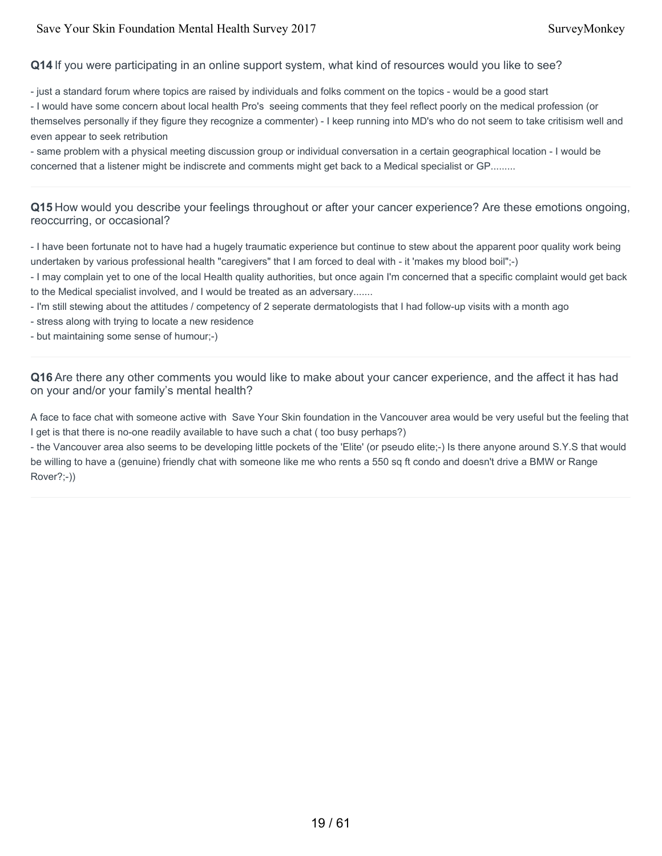#### Save Your Skin Foundation Mental Health Survey 2017 Survey Monkey

**Q14** If you were participating in an online support system, what kind of resources would you like to see?

- just a standard forum where topics are raised by individuals and folks comment on the topics - would be a good start

- I would have some concern about local health Pro's seeing comments that they feel reflect poorly on the medical profession (or themselves personally if they figure they recognize a commenter) - I keep running into MD's who do not seem to take critisism well and even appear to seek retribution

- same problem with a physical meeting discussion group or individual conversation in a certain geographical location - I would be concerned that a listener might be indiscrete and comments might get back to a Medical specialist or GP.........

**Q15** How would you describe your feelings throughout or after your cancer experience? Are these emotions ongoing, reoccurring, or occasional?

- I have been fortunate not to have had a hugely traumatic experience but continue to stew about the apparent poor quality work being undertaken by various professional health "caregivers" that I am forced to deal with - it 'makes my blood boil";-)

- I may complain yet to one of the local Health quality authorities, but once again I'm concerned that a specific complaint would get back to the Medical specialist involved, and I would be treated as an adversary.......

- I'm still stewing about the attitudes / competency of 2 seperate dermatologists that I had follow-up visits with a month ago

- stress along with trying to locate a new residence

- but maintaining some sense of humour;-)

**Q16** Are there any other comments you would like to make about your cancer experience, and the affect it has had on your and/or your family's mental health?

A face to face chat with someone active with Save Your Skin foundation in the Vancouver area would be very useful but the feeling that I get is that there is no-one readily available to have such a chat ( too busy perhaps?)

- the Vancouver area also seems to be developing little pockets of the 'Elite' (or pseudo elite;-) Is there anyone around S.Y.S that would be willing to have a (genuine) friendly chat with someone like me who rents a 550 sq ft condo and doesn't drive a BMW or Range Rover?;-))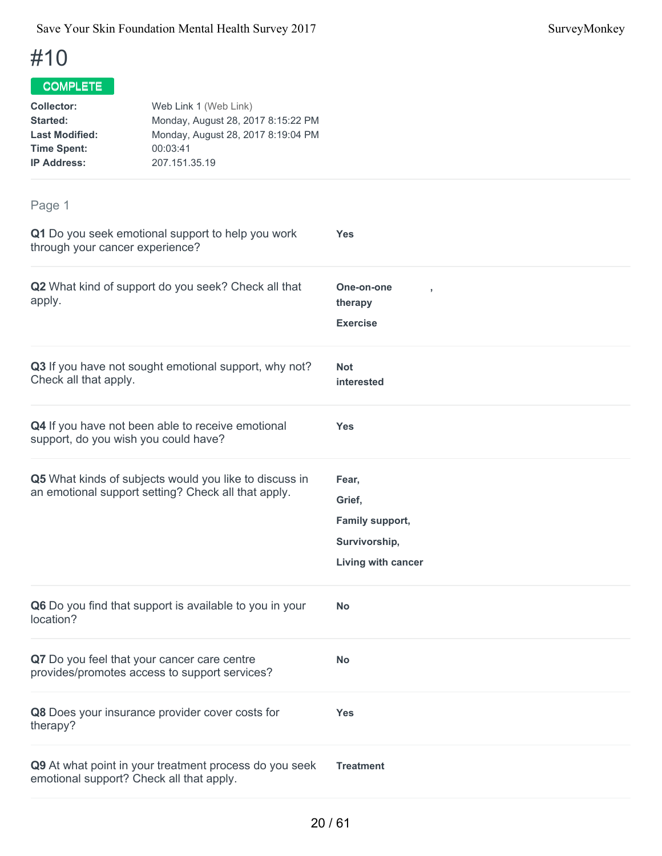| <b>Collector:</b><br>Started:<br><b>Last Modified:</b><br><b>Time Spent:</b><br><b>IP Address:</b> | Web Link 1 (Web Link)<br>Monday, August 28, 2017 8:15:22 PM<br>Monday, August 28, 2017 8:19:04 PM<br>00:03:41<br>207.151.35.19 |                                                                           |
|----------------------------------------------------------------------------------------------------|--------------------------------------------------------------------------------------------------------------------------------|---------------------------------------------------------------------------|
| Page 1                                                                                             |                                                                                                                                |                                                                           |
| through your cancer experience?                                                                    | Q1 Do you seek emotional support to help you work                                                                              | <b>Yes</b>                                                                |
| apply.                                                                                             | Q2 What kind of support do you seek? Check all that                                                                            | One-on-one<br>therapy                                                     |
|                                                                                                    |                                                                                                                                | <b>Exercise</b>                                                           |
| Check all that apply.                                                                              | Q3 If you have not sought emotional support, why not?                                                                          | <b>Not</b><br>interested                                                  |
|                                                                                                    | Q4 If you have not been able to receive emotional<br>support, do you wish you could have?                                      | <b>Yes</b>                                                                |
|                                                                                                    | Q5 What kinds of subjects would you like to discuss in<br>an emotional support setting? Check all that apply.                  | Fear,<br>Grief,<br>Family support,<br>Survivorship,<br>Living with cancer |
| location?                                                                                          | Q6 Do you find that support is available to you in your                                                                        | <b>No</b>                                                                 |
|                                                                                                    | Q7 Do you feel that your cancer care centre<br>provides/promotes access to support services?                                   | <b>No</b>                                                                 |
| therapy?                                                                                           | Q8 Does your insurance provider cover costs for                                                                                | <b>Yes</b>                                                                |
|                                                                                                    | Q9 At what point in your treatment process do you seek<br>emotional support? Check all that apply.                             | <b>Treatment</b>                                                          |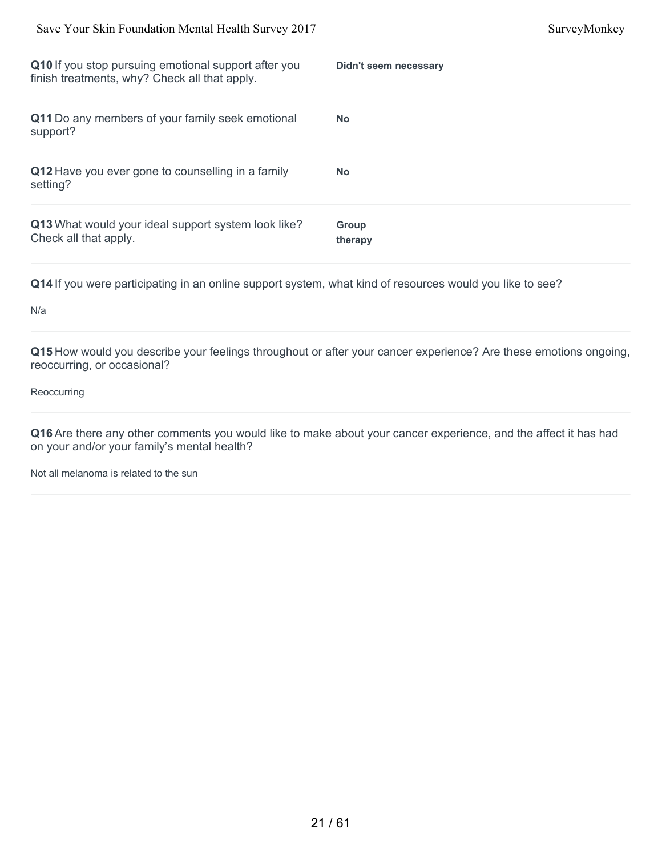| Q10 If you stop pursuing emotional support after you<br>finish treatments, why? Check all that apply. | Didn't seem necessary |
|-------------------------------------------------------------------------------------------------------|-----------------------|
| Q11 Do any members of your family seek emotional<br>support?                                          | <b>No</b>             |
| Q12 Have you ever gone to counselling in a family<br>setting?                                         | <b>No</b>             |
| Q13 What would your ideal support system look like?<br>Check all that apply.                          | Group<br>therapy      |

#### N/a

**Q15** How would you describe your feelings throughout or after your cancer experience? Are these emotions ongoing, reoccurring, or occasional?

#### **Reoccurring**

**Q16** Are there any other comments you would like to make about your cancer experience, and the affect it has had on your and/or your family's mental health?

Not all melanoma is related to the sun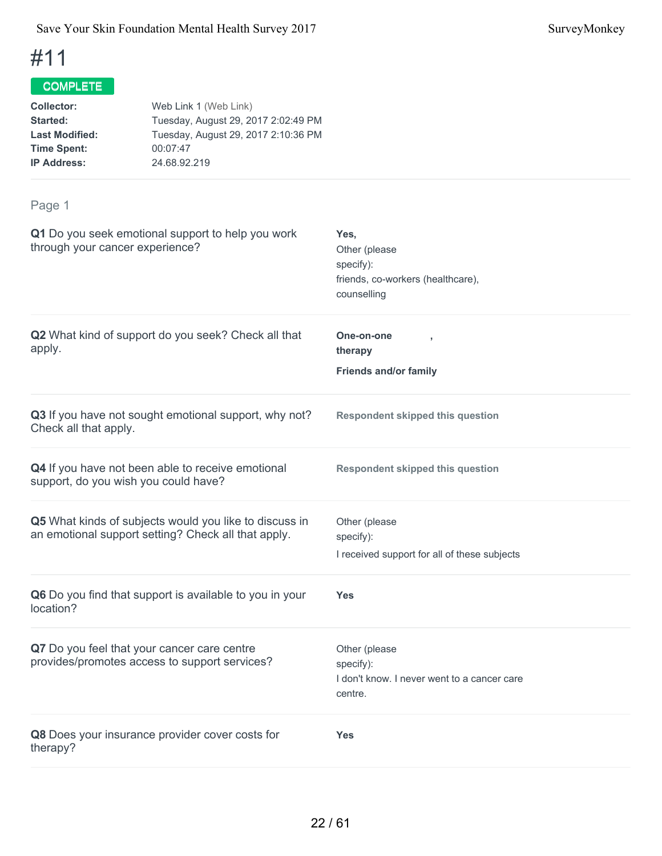## COMPLETE

| <b>Collector:</b>     | Web Link 1 (Web Link)               |
|-----------------------|-------------------------------------|
| Started:              | Tuesday, August 29, 2017 2:02:49 PM |
| <b>Last Modified:</b> | Tuesday, August 29, 2017 2:10:36 PM |
| <b>Time Spent:</b>    | 00:07:47                            |
| <b>IP Address:</b>    | 24.68.92.219                        |
|                       |                                     |

| Q1 Do you seek emotional support to help you work<br>through your cancer experience?                          | Yes,<br>Other (please<br>specify):<br>friends, co-workers (healthcare),<br>counselling |
|---------------------------------------------------------------------------------------------------------------|----------------------------------------------------------------------------------------|
| Q2 What kind of support do you seek? Check all that<br>apply.                                                 | One-on-one<br>therapy<br><b>Friends and/or family</b>                                  |
| Q3 If you have not sought emotional support, why not?<br>Check all that apply.                                | <b>Respondent skipped this question</b>                                                |
| Q4 If you have not been able to receive emotional<br>support, do you wish you could have?                     | <b>Respondent skipped this question</b>                                                |
| Q5 What kinds of subjects would you like to discuss in<br>an emotional support setting? Check all that apply. | Other (please<br>specify):<br>I received support for all of these subjects             |
| Q6 Do you find that support is available to you in your<br>location?                                          | Yes                                                                                    |
| Q7 Do you feel that your cancer care centre<br>provides/promotes access to support services?                  | Other (please<br>specify):<br>I don't know. I never went to a cancer care<br>centre.   |
| Q8 Does your insurance provider cover costs for<br>therapy?                                                   | <b>Yes</b>                                                                             |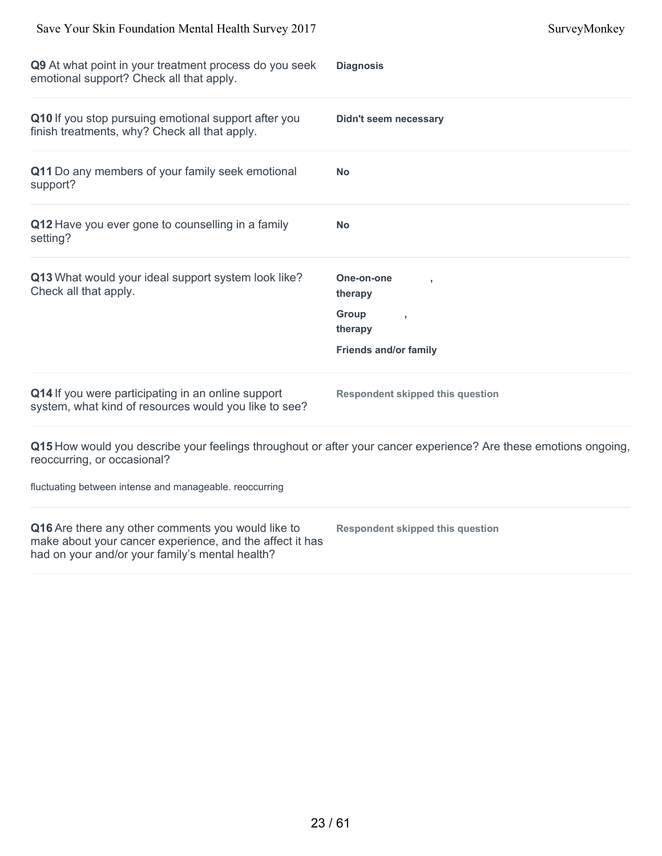| Q9 At what point in your treatment process do you seek<br>emotional support? Check all that apply.                                                                | <b>Diagnosis</b>                                                                                                 |
|-------------------------------------------------------------------------------------------------------------------------------------------------------------------|------------------------------------------------------------------------------------------------------------------|
| Q10 If you stop pursuing emotional support after you<br>finish treatments, why? Check all that apply.                                                             | <b>Didn't seem necessary</b>                                                                                     |
| Q11 Do any members of your family seek emotional<br>support?                                                                                                      | <b>No</b>                                                                                                        |
| Q12 Have you ever gone to counselling in a family<br>setting?                                                                                                     | <b>No</b>                                                                                                        |
| Q13 What would your ideal support system look like?<br>Check all that apply.                                                                                      | One-on-one<br>therapy                                                                                            |
|                                                                                                                                                                   | Group<br>therapy                                                                                                 |
|                                                                                                                                                                   | <b>Friends and/or family</b>                                                                                     |
| Q14 If you were participating in an online support<br>system, what kind of resources would you like to see?                                                       | <b>Respondent skipped this question</b>                                                                          |
| reoccurring, or occasional?                                                                                                                                       | Q15 How would you describe your feelings throughout or after your cancer experience? Are these emotions ongoing, |
| fluctuating between intense and manageable. reoccurring                                                                                                           |                                                                                                                  |
| Q16 Are there any other comments you would like to<br>make about your cancer experience, and the affect it has<br>had on your and/or your family's mental health? | <b>Respondent skipped this question</b>                                                                          |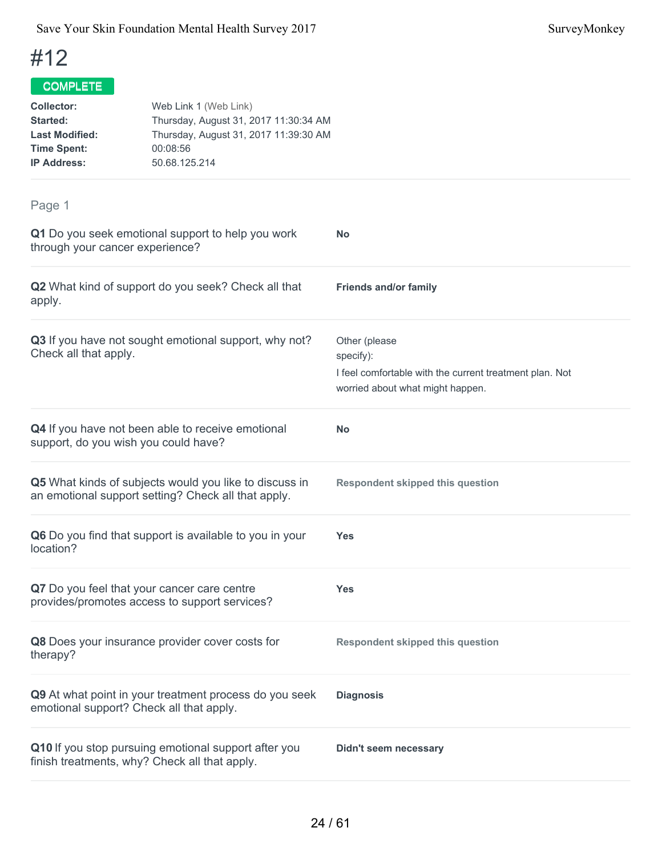| <b>Collector:</b><br>Started:<br><b>Last Modified:</b><br><b>Time Spent:</b><br><b>IP Address:</b> | Web Link 1 (Web Link)<br>Thursday, August 31, 2017 11:30:34 AM<br>Thursday, August 31, 2017 11:39:30 AM<br>00:08:56<br>50.68.125.214 |                                                                                                                           |
|----------------------------------------------------------------------------------------------------|--------------------------------------------------------------------------------------------------------------------------------------|---------------------------------------------------------------------------------------------------------------------------|
| Page 1                                                                                             |                                                                                                                                      |                                                                                                                           |
| through your cancer experience?                                                                    | Q1 Do you seek emotional support to help you work                                                                                    | <b>No</b>                                                                                                                 |
| apply.                                                                                             | Q2 What kind of support do you seek? Check all that                                                                                  | <b>Friends and/or family</b>                                                                                              |
| Check all that apply.                                                                              | Q3 If you have not sought emotional support, why not?                                                                                | Other (please<br>specify):<br>I feel comfortable with the current treatment plan. Not<br>worried about what might happen. |
|                                                                                                    | Q4 If you have not been able to receive emotional<br>support, do you wish you could have?                                            | <b>No</b>                                                                                                                 |
|                                                                                                    | Q5 What kinds of subjects would you like to discuss in<br>an emotional support setting? Check all that apply.                        | <b>Respondent skipped this question</b>                                                                                   |
| location?                                                                                          | Q6 Do you find that support is available to you in your                                                                              | Yes                                                                                                                       |
|                                                                                                    | Q7 Do you feel that your cancer care centre<br>provides/promotes access to support services?                                         | <b>Yes</b>                                                                                                                |
| therapy?                                                                                           | Q8 Does your insurance provider cover costs for                                                                                      | <b>Respondent skipped this question</b>                                                                                   |
|                                                                                                    | Q9 At what point in your treatment process do you seek<br>emotional support? Check all that apply.                                   | <b>Diagnosis</b>                                                                                                          |
|                                                                                                    | Q10 If you stop pursuing emotional support after you<br>finish treatments, why? Check all that apply.                                | <b>Didn't seem necessary</b>                                                                                              |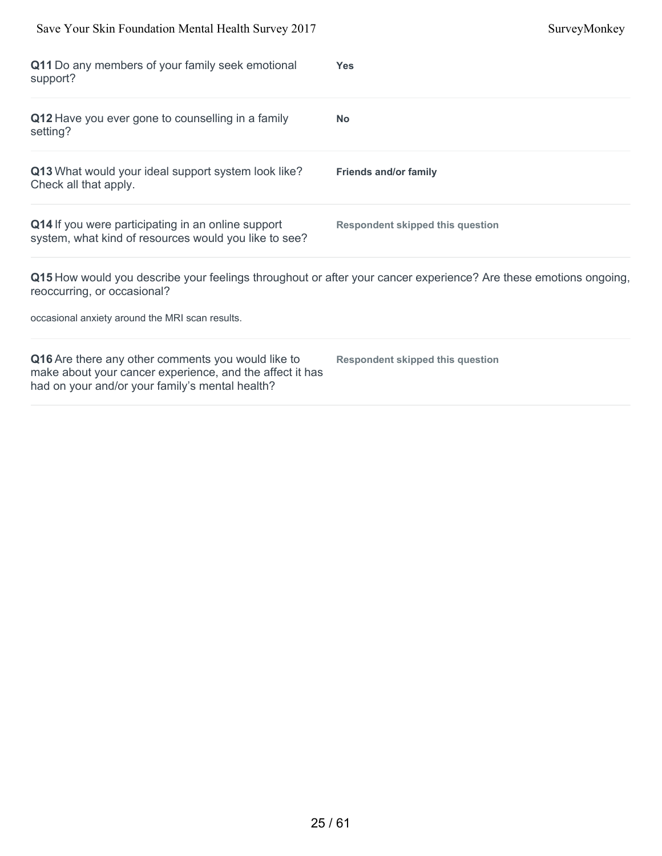| Save Your Skin Foundation Mental Health Survey 2017                                                                                                               | SurveyMonkey                                                                                                     |
|-------------------------------------------------------------------------------------------------------------------------------------------------------------------|------------------------------------------------------------------------------------------------------------------|
| Q11 Do any members of your family seek emotional<br>support?                                                                                                      | <b>Yes</b>                                                                                                       |
| Q12 Have you ever gone to counselling in a family<br>setting?                                                                                                     | <b>No</b>                                                                                                        |
| Q13 What would your ideal support system look like?<br>Check all that apply.                                                                                      | <b>Friends and/or family</b>                                                                                     |
| Q14 If you were participating in an online support<br>system, what kind of resources would you like to see?                                                       | <b>Respondent skipped this question</b>                                                                          |
| reoccurring, or occasional?<br>occasional anxiety around the MRI scan results.                                                                                    | Q15 How would you describe your feelings throughout or after your cancer experience? Are these emotions ongoing, |
| Q16 Are there any other comments you would like to<br>make about your cancer experience, and the affect it has<br>had on your and/or your family's mental health? | <b>Respondent skipped this question</b>                                                                          |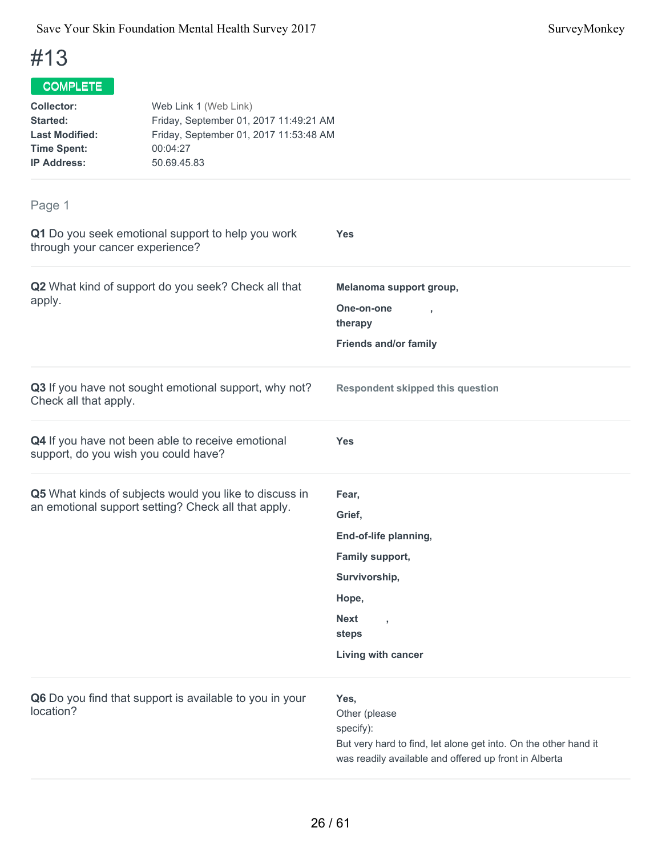| Web Link 1 (Web Link)<br>Friday, September 01, 2017 11:49:21 AM<br>Friday, September 01, 2017 11:53:48 AM<br>00:04:27<br>50.69.45.83 |                                                                                                                                                       |
|--------------------------------------------------------------------------------------------------------------------------------------|-------------------------------------------------------------------------------------------------------------------------------------------------------|
|                                                                                                                                      |                                                                                                                                                       |
| Q1 Do you seek emotional support to help you work<br>through your cancer experience?                                                 | <b>Yes</b>                                                                                                                                            |
| Q2 What kind of support do you seek? Check all that                                                                                  | Melanoma support group,<br>One-on-one<br>therapy<br><b>Friends and/or family</b>                                                                      |
| Q3 If you have not sought emotional support, why not?                                                                                | <b>Respondent skipped this question</b>                                                                                                               |
| Q4 If you have not been able to receive emotional<br>support, do you wish you could have?                                            | <b>Yes</b>                                                                                                                                            |
| Q5 What kinds of subjects would you like to discuss in<br>an emotional support setting? Check all that apply.                        | Fear,<br>Grief,<br>End-of-life planning,<br>Family support,<br>Survivorship,<br>Hope,<br><b>Next</b><br>$\overline{ }$<br>steps<br>Living with cancer |
|                                                                                                                                      |                                                                                                                                                       |

| Q6 Do you find that support is available to you in your | Yes.                                                            |
|---------------------------------------------------------|-----------------------------------------------------------------|
| location?                                               | Other (please)                                                  |
|                                                         | specify):                                                       |
|                                                         | But very hard to find, let alone get into. On the other hand it |
|                                                         | was readily available and offered up front in Alberta           |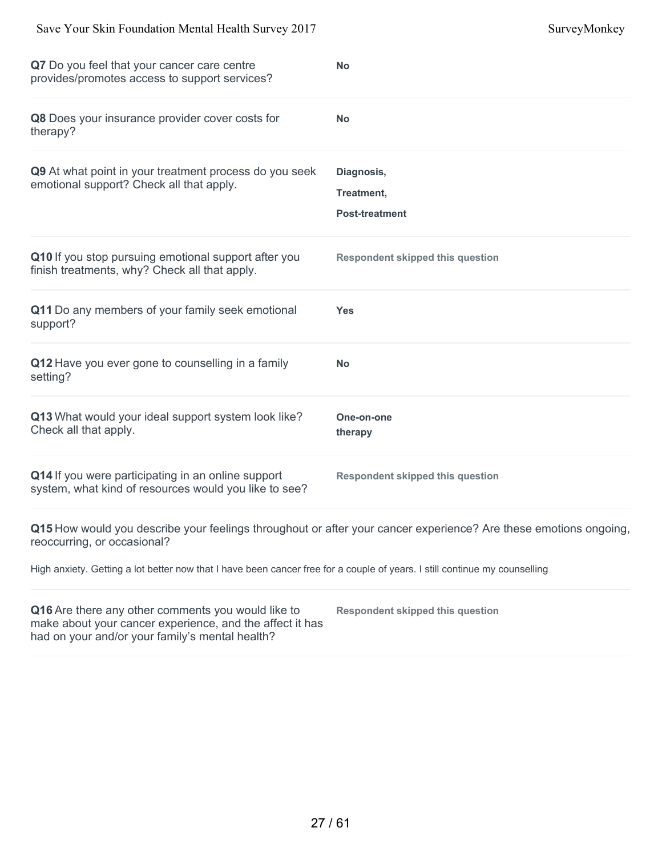| Q7 Do you feel that your cancer care centre<br>provides/promotes access to support services?                                                                      | <b>No</b>                                                                                                        |
|-------------------------------------------------------------------------------------------------------------------------------------------------------------------|------------------------------------------------------------------------------------------------------------------|
| Q8 Does your insurance provider cover costs for<br>therapy?                                                                                                       | No                                                                                                               |
| Q9 At what point in your treatment process do you seek<br>emotional support? Check all that apply.                                                                | Diagnosis,<br>Treatment,<br><b>Post-treatment</b>                                                                |
| Q10 If you stop pursuing emotional support after you<br>finish treatments, why? Check all that apply.                                                             | <b>Respondent skipped this question</b>                                                                          |
| Q11 Do any members of your family seek emotional<br>support?                                                                                                      | <b>Yes</b>                                                                                                       |
| Q12 Have you ever gone to counselling in a family<br>setting?                                                                                                     | No                                                                                                               |
| Q13 What would your ideal support system look like?<br>Check all that apply.                                                                                      | One-on-one<br>therapy                                                                                            |
| Q14 If you were participating in an online support<br>system, what kind of resources would you like to see?                                                       | <b>Respondent skipped this question</b>                                                                          |
| reoccurring, or occasional?                                                                                                                                       | Q15 How would you describe your feelings throughout or after your cancer experience? Are these emotions ongoing, |
| High anxiety. Getting a lot better now that I have been cancer free for a couple of years. I still continue my counselling                                        |                                                                                                                  |
| Q16 Are there any other comments you would like to<br>make about your cancer experience, and the affect it has<br>had on your and/or your family's mental health? | <b>Respondent skipped this question</b>                                                                          |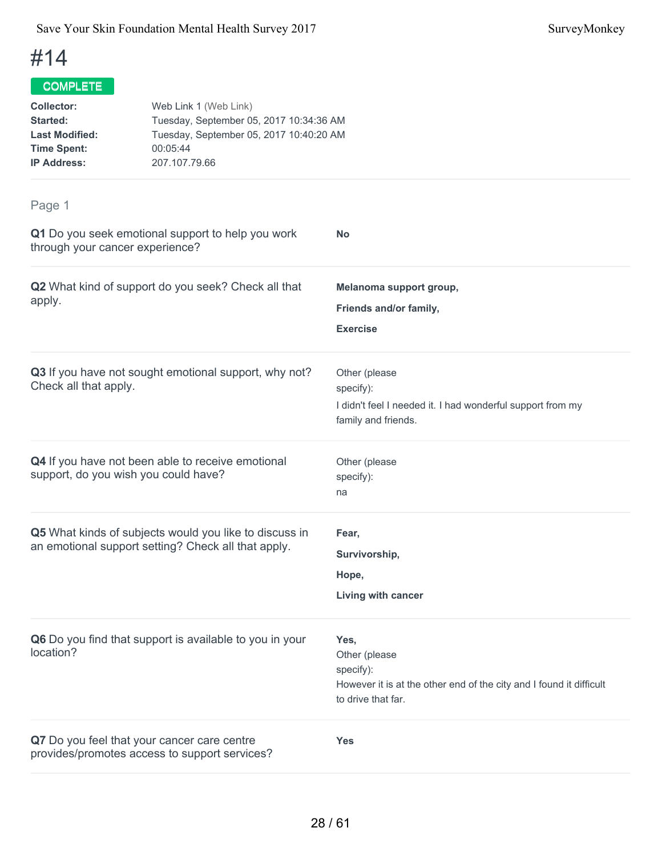## COMPLETE

| <b>Collector:</b>     | Web Link 1 (Web Link)                   |
|-----------------------|-----------------------------------------|
| Started:              | Tuesday, September 05, 2017 10:34:36 AM |
| <b>Last Modified:</b> | Tuesday, September 05, 2017 10:40:20 AM |
| <b>Time Spent:</b>    | 00:05:44                                |
| <b>IP Address:</b>    | 207.107.79.66                           |
|                       |                                         |

| Q1 Do you seek emotional support to help you work<br>through your cancer experience?                          | No                                                                                                                              |
|---------------------------------------------------------------------------------------------------------------|---------------------------------------------------------------------------------------------------------------------------------|
| Q2 What kind of support do you seek? Check all that<br>apply.                                                 | Melanoma support group,<br>Friends and/or family,<br><b>Exercise</b>                                                            |
| Q3 If you have not sought emotional support, why not?<br>Check all that apply.                                | Other (please<br>specify):<br>I didn't feel I needed it. I had wonderful support from my<br>family and friends.                 |
| Q4 If you have not been able to receive emotional<br>support, do you wish you could have?                     | Other (please<br>specify):<br>na                                                                                                |
| Q5 What kinds of subjects would you like to discuss in<br>an emotional support setting? Check all that apply. | Fear,<br>Survivorship,<br>Hope,<br>Living with cancer                                                                           |
| Q6 Do you find that support is available to you in your<br>location?                                          | Yes,<br>Other (please<br>specify):<br>However it is at the other end of the city and I found it difficult<br>to drive that far. |
| Q7 Do you feel that your cancer care centre<br>provides/promotes access to support services?                  | Yes                                                                                                                             |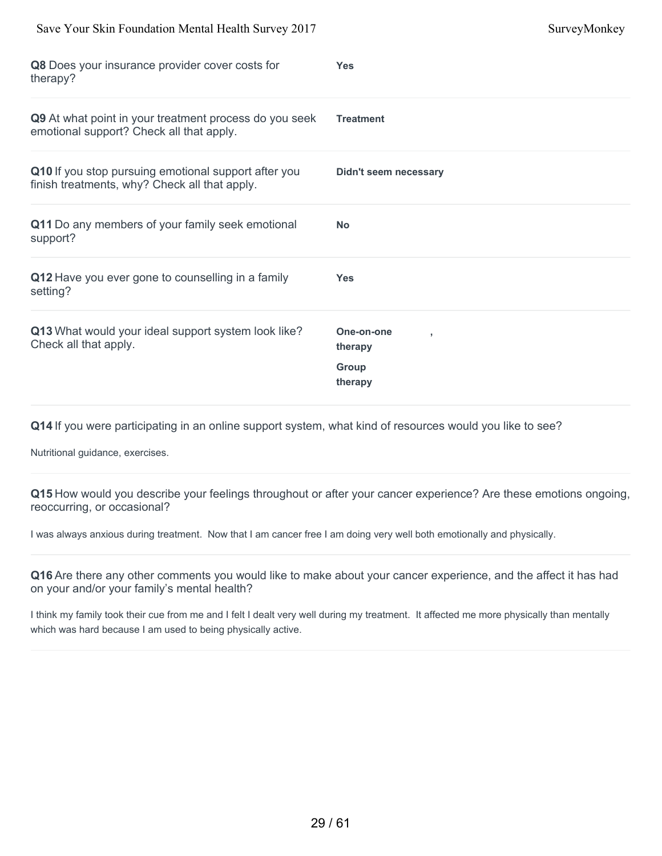| Save Your Skin Foundation Mental Health Survey 2017                                                   |                                                       | SurveyMonkey |
|-------------------------------------------------------------------------------------------------------|-------------------------------------------------------|--------------|
| Q8 Does your insurance provider cover costs for<br>therapy?                                           | <b>Yes</b>                                            |              |
| Q9 At what point in your treatment process do you seek<br>emotional support? Check all that apply.    | <b>Treatment</b>                                      |              |
| Q10 If you stop pursuing emotional support after you<br>finish treatments, why? Check all that apply. | <b>Didn't seem necessary</b>                          |              |
| Q11 Do any members of your family seek emotional<br>support?                                          | <b>No</b>                                             |              |
| Q12 Have you ever gone to counselling in a family<br>setting?                                         | <b>Yes</b>                                            |              |
| Q13 What would your ideal support system look like?<br>Check all that apply.                          | One-on-one<br>٠<br>therapy<br><b>Group</b><br>therapy |              |

Nutritional guidance, exercises.

**Q15** How would you describe your feelings throughout or after your cancer experience? Are these emotions ongoing, reoccurring, or occasional?

I was always anxious during treatment. Now that I am cancer free I am doing very well both emotionally and physically.

**Q16** Are there any other comments you would like to make about your cancer experience, and the affect it has had on your and/or your family's mental health?

I think my family took their cue from me and I felt I dealt very well during my treatment. It affected me more physically than mentally which was hard because I am used to being physically active.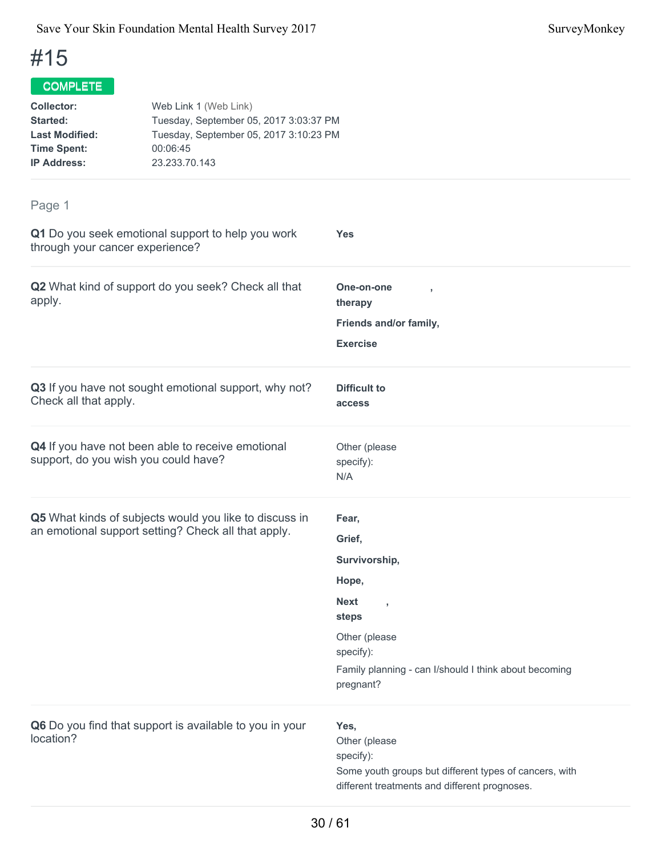## COMPLETE

| <b>Collector:</b>     | Web Link 1 (Web Link)                  |
|-----------------------|----------------------------------------|
| <b>Started:</b>       | Tuesday, September 05, 2017 3:03:37 PM |
| <b>Last Modified:</b> | Tuesday, September 05, 2017 3:10:23 PM |
| <b>Time Spent:</b>    | 00:06:45                               |
| <b>IP Address:</b>    | 23.233.70.143                          |
|                       |                                        |

| Q1 Do you seek emotional support to help you work<br>through your cancer experience?                          | Yes                                                                                                                                                                                     |
|---------------------------------------------------------------------------------------------------------------|-----------------------------------------------------------------------------------------------------------------------------------------------------------------------------------------|
| Q2 What kind of support do you seek? Check all that<br>apply.                                                 | One-on-one<br>therapy<br>Friends and/or family,<br><b>Exercise</b>                                                                                                                      |
| Q3 If you have not sought emotional support, why not?<br>Check all that apply.                                | <b>Difficult to</b><br>access                                                                                                                                                           |
| Q4 If you have not been able to receive emotional<br>support, do you wish you could have?                     | Other (please<br>specify):<br>N/A                                                                                                                                                       |
| Q5 What kinds of subjects would you like to discuss in<br>an emotional support setting? Check all that apply. | Fear,<br>Grief,<br>Survivorship,<br>Hope,<br><b>Next</b><br>$\overline{1}$<br>steps<br>Other (please<br>specify):<br>Family planning - can I/should I think about becoming<br>pregnant? |
| Q6 Do you find that support is available to you in your<br>location?                                          | Yes,<br>Other (please<br>specify):<br>Some youth groups but different types of cancers, with<br>different treatments and different prognoses.                                           |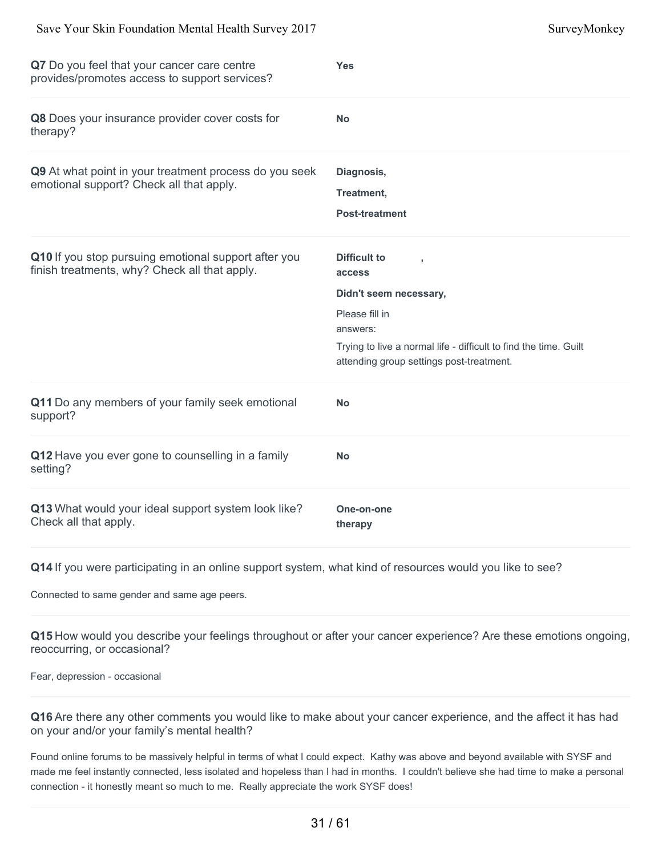| Q7 Do you feel that your cancer care centre<br>provides/promotes access to support services?          | <b>Yes</b>                                                                                                                                                                                     |
|-------------------------------------------------------------------------------------------------------|------------------------------------------------------------------------------------------------------------------------------------------------------------------------------------------------|
| Q8 Does your insurance provider cover costs for<br>therapy?                                           | <b>No</b>                                                                                                                                                                                      |
| Q9 At what point in your treatment process do you seek<br>emotional support? Check all that apply.    | Diagnosis,<br>Treatment,<br><b>Post-treatment</b>                                                                                                                                              |
| Q10 If you stop pursuing emotional support after you<br>finish treatments, why? Check all that apply. | Difficult to<br>access<br>Didn't seem necessary,<br>Please fill in<br>answers:<br>Trying to live a normal life - difficult to find the time. Guilt<br>attending group settings post-treatment. |
| Q11 Do any members of your family seek emotional<br>support?                                          | <b>No</b>                                                                                                                                                                                      |
| Q12 Have you ever gone to counselling in a family<br>setting?                                         | <b>No</b>                                                                                                                                                                                      |
| Q13 What would your ideal support system look like?<br>Check all that apply.                          | One-on-one<br>therapy                                                                                                                                                                          |

Connected to same gender and same age peers.

**Q15** How would you describe your feelings throughout or after your cancer experience? Are these emotions ongoing, reoccurring, or occasional?

Fear, depression - occasional

**Q16** Are there any other comments you would like to make about your cancer experience, and the affect it has had on your and/or your family's mental health?

Found online forums to be massively helpful in terms of what I could expect. Kathy was above and beyond available with SYSF and made me feel instantly connected, less isolated and hopeless than I had in months. I couldn't believe she had time to make a personal connection - it honestly meant so much to me. Really appreciate the work SYSF does!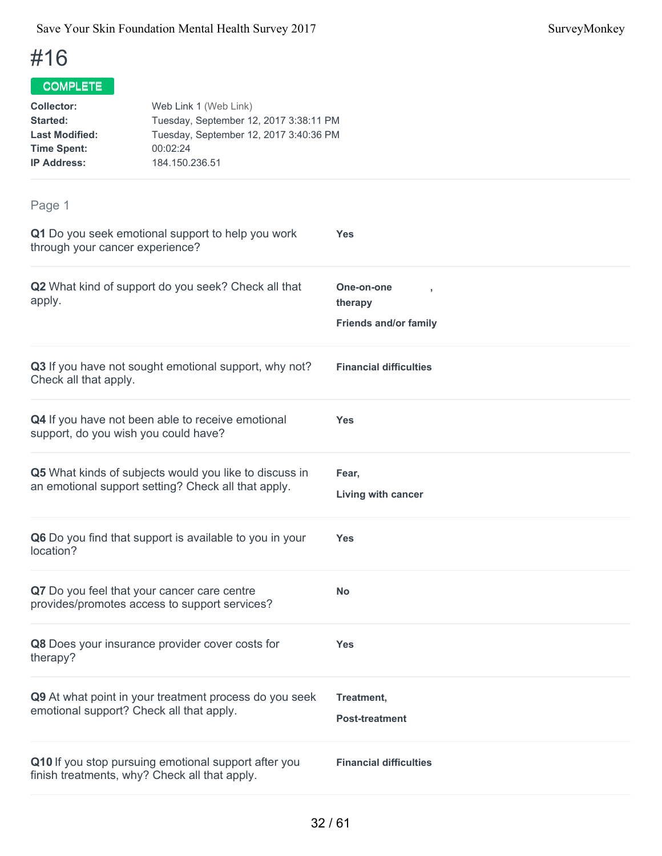#### **COMPLETE**

| Collector:<br>Web Link 1 (Web Link) |                                                                                  |                                         |  |
|-------------------------------------|----------------------------------------------------------------------------------|-----------------------------------------|--|
| Started:                            | Tuesday, September 12, 2017 3:38:11 PM<br>Tuesday, September 12, 2017 3:40:36 PM |                                         |  |
| <b>Last Modified:</b>               |                                                                                  |                                         |  |
| <b>Time Spent:</b>                  | 00:02:24                                                                         |                                         |  |
| <b>IP Address:</b>                  | 184.150.236.51                                                                   |                                         |  |
|                                     |                                                                                  |                                         |  |
| Page 1                              |                                                                                  |                                         |  |
| through your cancer experience?     | Q1 Do you seek emotional support to help you work                                | <b>Yes</b>                              |  |
| apply.                              | Q2 What kind of support do you seek? Check all that                              | One-on-one<br>$\overline{1}$<br>therapy |  |
|                                     |                                                                                  | <b>Friends and/or family</b>            |  |
|                                     | 03 If you have not sought emotional support why not?                             | Einancial difficultice                  |  |

**Q3** If you have not sought emotional support, why not? Check all that apply. **Financial difficulties Q4** If you have not been able to receive emotional support, do you wish you could have? **Yes Q5** What kinds of subjects would you like to discuss in an emotional support setting? Check all that apply. **Fear, Living with cancer Q6** Do you find that support is available to you in your location? **Yes Q7** Do you feel that your cancer care centre provides/promotes access to support services? **No Q8** Does your insurance provider cover costs for therapy? **Yes Q9** At what point in your treatment process do you seek emotional support? Check all that apply. **Treatment, Post-treatment Q10** If you stop pursuing emotional support after you finish treatments, why? Check all that apply. **Financial difficulties**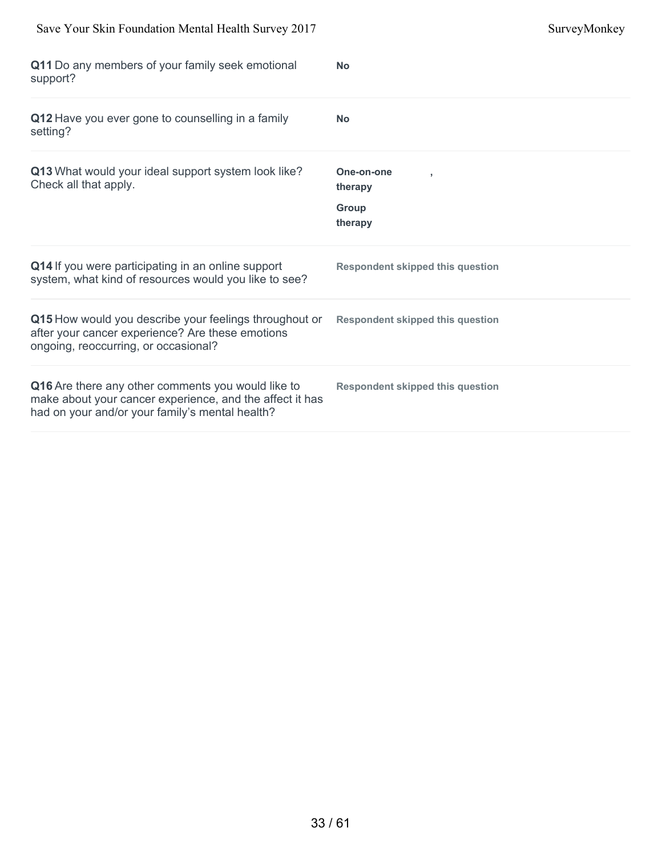| Save Your Skin Foundation Mental Health Survey 2017                                                                                                               |                                           | SurveyMonkey |
|-------------------------------------------------------------------------------------------------------------------------------------------------------------------|-------------------------------------------|--------------|
| Q11 Do any members of your family seek emotional<br>support?                                                                                                      | <b>No</b>                                 |              |
| Q12 Have you ever gone to counselling in a family<br>setting?                                                                                                     | <b>No</b>                                 |              |
| Q13 What would your ideal support system look like?<br>Check all that apply.                                                                                      | One-on-one<br>therapy<br>Group<br>therapy |              |
| Q14 If you were participating in an online support<br>system, what kind of resources would you like to see?                                                       | <b>Respondent skipped this question</b>   |              |
| Q15 How would you describe your feelings throughout or<br>after your cancer experience? Are these emotions<br>ongoing, reoccurring, or occasional?                | <b>Respondent skipped this question</b>   |              |
| Q16 Are there any other comments you would like to<br>make about your cancer experience, and the affect it has<br>had on your and/or your family's mental health? | <b>Respondent skipped this question</b>   |              |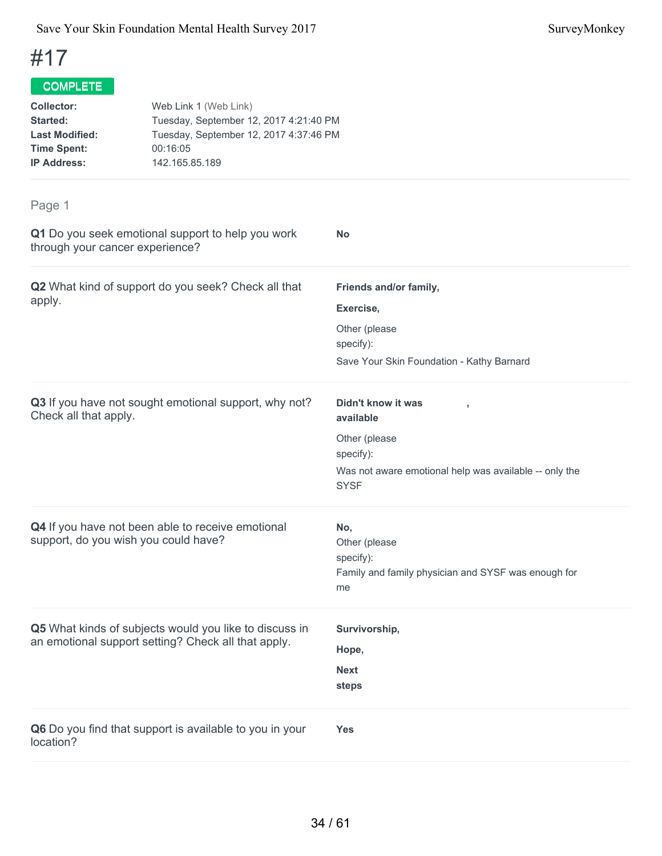## COMPLETE

| <b>Collector:</b>     | Web Link 1 (Web Link)                  |
|-----------------------|----------------------------------------|
| <b>Started:</b>       | Tuesday, September 12, 2017 4:21:40 PM |
| <b>Last Modified:</b> | Tuesday, September 12, 2017 4:37:46 PM |
| <b>Time Spent:</b>    | 00:16:05                               |
| <b>IP Address:</b>    | 142.165.85.189                         |
|                       |                                        |

| Q1 Do you seek emotional support to help you work<br>through your cancer experience?                          | <b>No</b>                                                                                                                              |
|---------------------------------------------------------------------------------------------------------------|----------------------------------------------------------------------------------------------------------------------------------------|
| Q2 What kind of support do you seek? Check all that<br>apply.                                                 | Friends and/or family,<br>Exercise,<br>Other (please<br>specify):<br>Save Your Skin Foundation - Kathy Barnard                         |
| Q3 If you have not sought emotional support, why not?<br>Check all that apply.                                | Didn't know it was<br>available<br>Other (please<br>specify):<br>Was not aware emotional help was available -- only the<br><b>SYSF</b> |
| Q4 If you have not been able to receive emotional<br>support, do you wish you could have?                     | No,<br>Other (please<br>specify):<br>Family and family physician and SYSF was enough for<br>me                                         |
| Q5 What kinds of subjects would you like to discuss in<br>an emotional support setting? Check all that apply. | Survivorship,<br>Hope,<br><b>Next</b><br>steps                                                                                         |
| Q6 Do you find that support is available to you in your<br>location?                                          | <b>Yes</b>                                                                                                                             |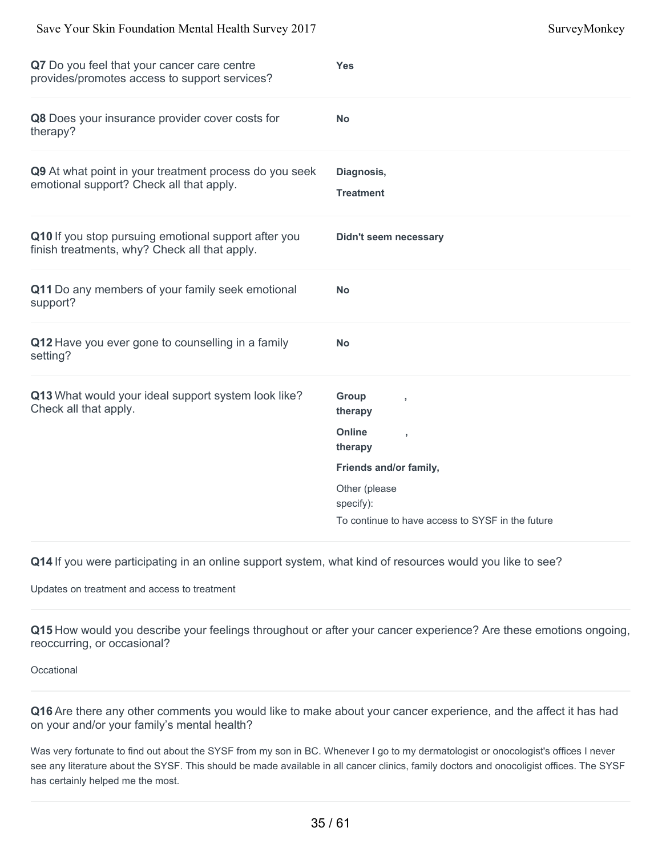| Q7 Do you feel that your cancer care centre<br>provides/promotes access to support services?          | <b>Yes</b>                                       |
|-------------------------------------------------------------------------------------------------------|--------------------------------------------------|
| Q8 Does your insurance provider cover costs for<br>therapy?                                           | <b>No</b>                                        |
| Q9 At what point in your treatment process do you seek<br>emotional support? Check all that apply.    | Diagnosis,<br><b>Treatment</b>                   |
| Q10 If you stop pursuing emotional support after you<br>finish treatments, why? Check all that apply. | <b>Didn't seem necessary</b>                     |
| Q11 Do any members of your family seek emotional<br>support?                                          | <b>No</b>                                        |
| Q12 Have you ever gone to counselling in a family<br>setting?                                         | <b>No</b>                                        |
| Q13 What would your ideal support system look like?<br>Check all that apply.                          | Group<br>٠<br>therapy<br><b>Online</b><br>×      |
|                                                                                                       | therapy                                          |
|                                                                                                       | Friends and/or family,                           |
|                                                                                                       | Other (please<br>specify):                       |
|                                                                                                       | To continue to have access to SYSF in the future |

Updates on treatment and access to treatment

**Q15** How would you describe your feelings throughout or after your cancer experience? Are these emotions ongoing, reoccurring, or occasional?

**Occational** 

**Q16** Are there any other comments you would like to make about your cancer experience, and the affect it has had on your and/or your family's mental health?

Was very fortunate to find out about the SYSF from my son in BC. Whenever I go to my dermatologist or onocologist's offices I never see any literature about the SYSF. This should be made available in all cancer clinics, family doctors and onocoligist offices. The SYSF has certainly helped me the most.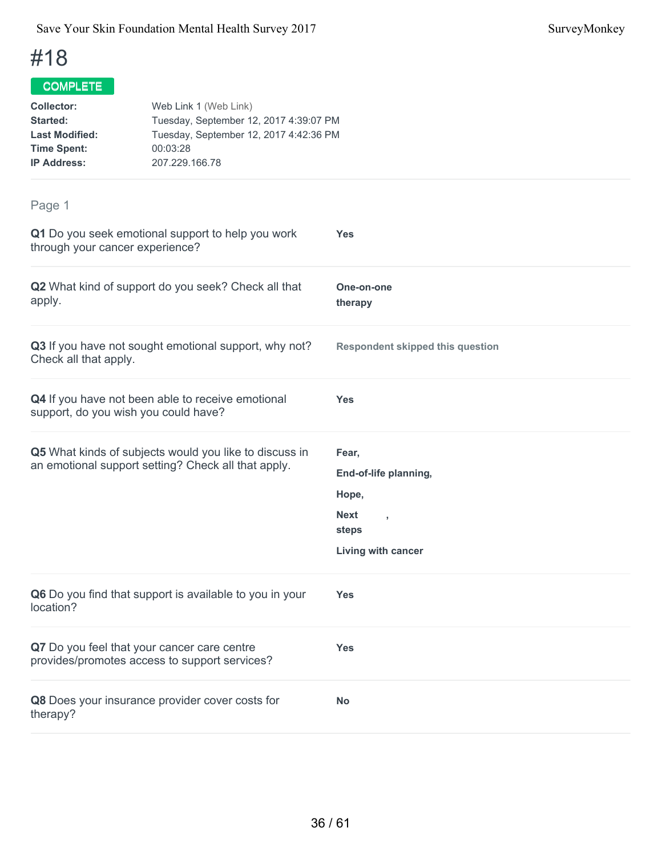| Collector:<br>Started:<br><b>Last Modified:</b><br><b>Time Spent:</b><br><b>IP Address:</b> | Web Link 1 (Web Link)<br>Tuesday, September 12, 2017 4:39:07 PM<br>Tuesday, September 12, 2017 4:42:36 PM<br>00:03:28<br>207.229.166.78 |
|---------------------------------------------------------------------------------------------|-----------------------------------------------------------------------------------------------------------------------------------------|
| Page 1                                                                                      | Q1 Do you seek emotional support to help you work<br><b>Yes</b>                                                                         |
| through your cancer experience?                                                             |                                                                                                                                         |

| Q2 What kind of support do you seek? Check all that<br>apply.                                                 | One-on-one<br>therapy                                                |
|---------------------------------------------------------------------------------------------------------------|----------------------------------------------------------------------|
| Q3 If you have not sought emotional support, why not?<br>Check all that apply.                                | <b>Respondent skipped this question</b>                              |
| Q4 If you have not been able to receive emotional<br>support, do you wish you could have?                     | <b>Yes</b>                                                           |
| Q5 What kinds of subjects would you like to discuss in<br>an emotional support setting? Check all that apply. | Fear,<br>End-of-life planning,<br>Hope,<br><b>Next</b><br>×<br>steps |
|                                                                                                               | Living with cancer                                                   |
| Q6 Do you find that support is available to you in your<br>location?                                          | <b>Yes</b>                                                           |
| Q7 Do you feel that your cancer care centre<br>provides/promotes access to support services?                  | <b>Yes</b>                                                           |
| Q8 Does your insurance provider cover costs for<br>therapy?                                                   | <b>No</b>                                                            |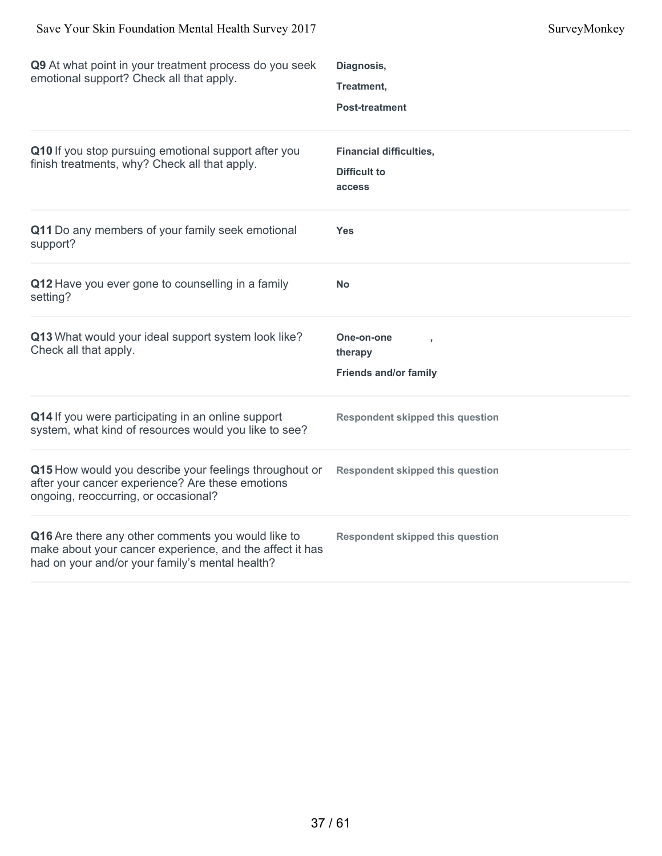| Q9 At what point in your treatment process do you seek<br>emotional support? Check all that apply.                                                 | Diagnosis,<br>Treatment,<br><b>Post-treatment</b>               |
|----------------------------------------------------------------------------------------------------------------------------------------------------|-----------------------------------------------------------------|
| Q10 If you stop pursuing emotional support after you<br>finish treatments, why? Check all that apply.                                              | <b>Financial difficulties,</b><br><b>Difficult to</b><br>access |
| Q11 Do any members of your family seek emotional<br>support?                                                                                       | <b>Yes</b>                                                      |
| Q12 Have you ever gone to counselling in a family<br>setting?                                                                                      | <b>No</b>                                                       |
| Q13 What would your ideal support system look like?<br>Check all that apply.                                                                       | One-on-one<br>therapy<br><b>Friends and/or family</b>           |
| Q14 If you were participating in an online support<br>system, what kind of resources would you like to see?                                        | <b>Respondent skipped this question</b>                         |
| Q15 How would you describe your feelings throughout or<br>after your cancer experience? Are these emotions<br>ongoing, reoccurring, or occasional? | <b>Respondent skipped this question</b>                         |
| Q16 Are there any other comments you would like to<br>make about your cancer experience, and the affect it has                                     | <b>Respondent skipped this question</b>                         |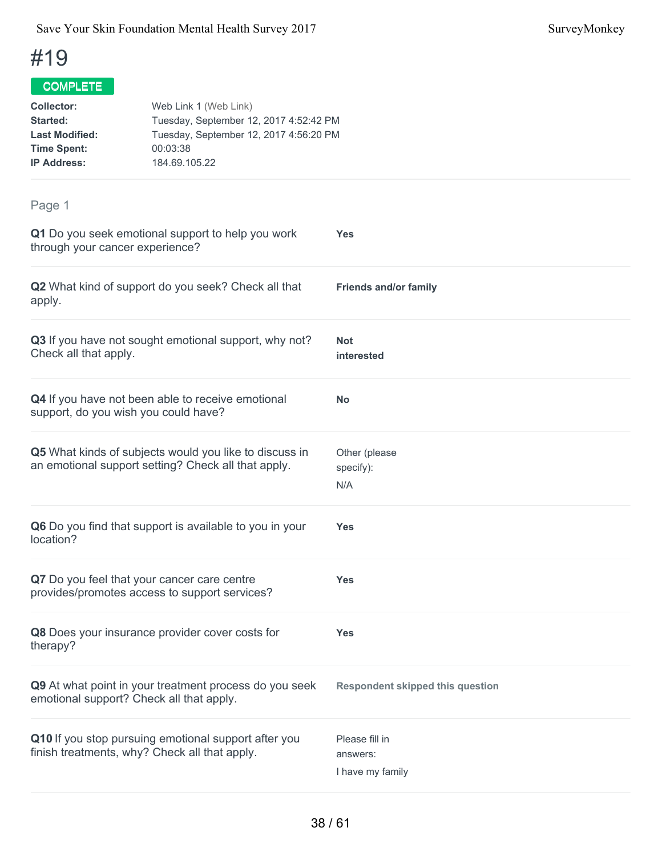| <b>Collector:</b><br><b>Started:</b><br><b>Last Modified:</b><br><b>Time Spent:</b><br><b>IP Address:</b> | Web Link 1 (Web Link)<br>Tuesday, September 12, 2017 4:52:42 PM<br>Tuesday, September 12, 2017 4:56:20 PM<br>00:03:38<br>184.69.105.22 |                                                |  |
|-----------------------------------------------------------------------------------------------------------|----------------------------------------------------------------------------------------------------------------------------------------|------------------------------------------------|--|
| Page 1                                                                                                    |                                                                                                                                        |                                                |  |
| through your cancer experience?                                                                           | Q1 Do you seek emotional support to help you work                                                                                      | <b>Yes</b>                                     |  |
| apply.                                                                                                    | Q2 What kind of support do you seek? Check all that                                                                                    | <b>Friends and/or family</b>                   |  |
| Check all that apply.                                                                                     | Q3 If you have not sought emotional support, why not?                                                                                  | Not<br>interested                              |  |
|                                                                                                           | Q4 If you have not been able to receive emotional<br>support, do you wish you could have?                                              | <b>No</b>                                      |  |
|                                                                                                           | Q5 What kinds of subjects would you like to discuss in<br>an emotional support setting? Check all that apply.                          | Other (please<br>specify):<br>N/A              |  |
| location?                                                                                                 | Q6 Do you find that support is available to you in your                                                                                | <b>Yes</b>                                     |  |
|                                                                                                           | Q7 Do you feel that your cancer care centre<br>provides/promotes access to support services?                                           | Yes                                            |  |
| therapy?                                                                                                  | Q8 Does your insurance provider cover costs for                                                                                        | <b>Yes</b>                                     |  |
|                                                                                                           | Q9 At what point in your treatment process do you seek<br>emotional support? Check all that apply.                                     | <b>Respondent skipped this question</b>        |  |
| Q10 If you stop pursuing emotional support after you<br>finish treatments, why? Check all that apply.     |                                                                                                                                        | Please fill in<br>answers:<br>I have my family |  |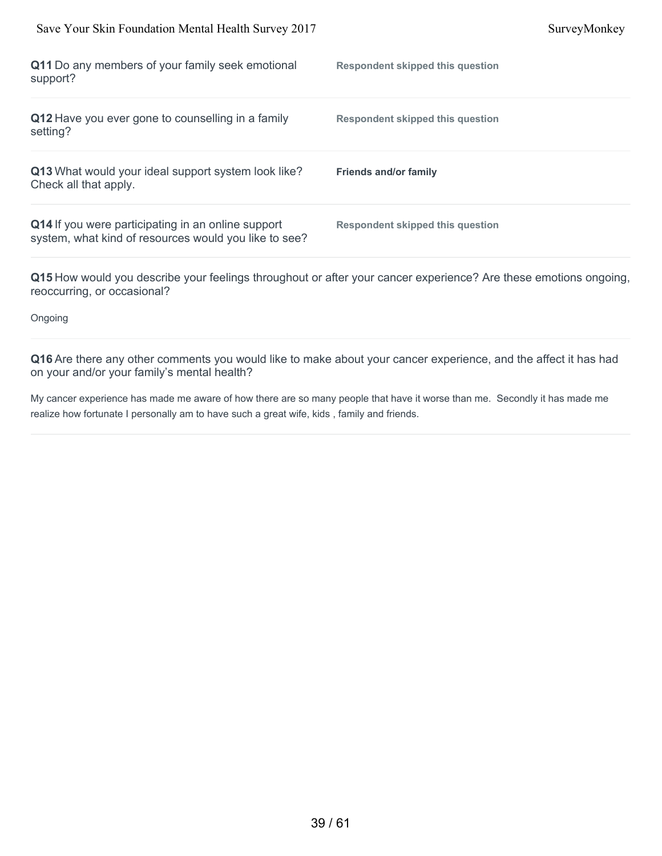| Save Your Skin Foundation Mental Health Survey 2017                                                                                             |                                         | SurveyMonkey |
|-------------------------------------------------------------------------------------------------------------------------------------------------|-----------------------------------------|--------------|
| Q11 Do any members of your family seek emotional<br>support?                                                                                    | <b>Respondent skipped this question</b> |              |
| Q12 Have you ever gone to counselling in a family<br>setting?                                                                                   | <b>Respondent skipped this question</b> |              |
| Q13 What would your ideal support system look like?<br>Check all that apply.                                                                    | <b>Friends and/or family</b>            |              |
| Q14 If you were participating in an online support<br>system, what kind of resources would you like to see?                                     | <b>Respondent skipped this question</b> |              |
| Q15 How would you describe your feelings throughout or after your cancer experience? Are these emotions ongoing,<br>reoccurring, or occasional? |                                         |              |

Ongoing

**Q16** Are there any other comments you would like to make about your cancer experience, and the affect it has had on your and/or your family's mental health?

My cancer experience has made me aware of how there are so many people that have it worse than me. Secondly it has made me realize how fortunate I personally am to have such a great wife, kids , family and friends.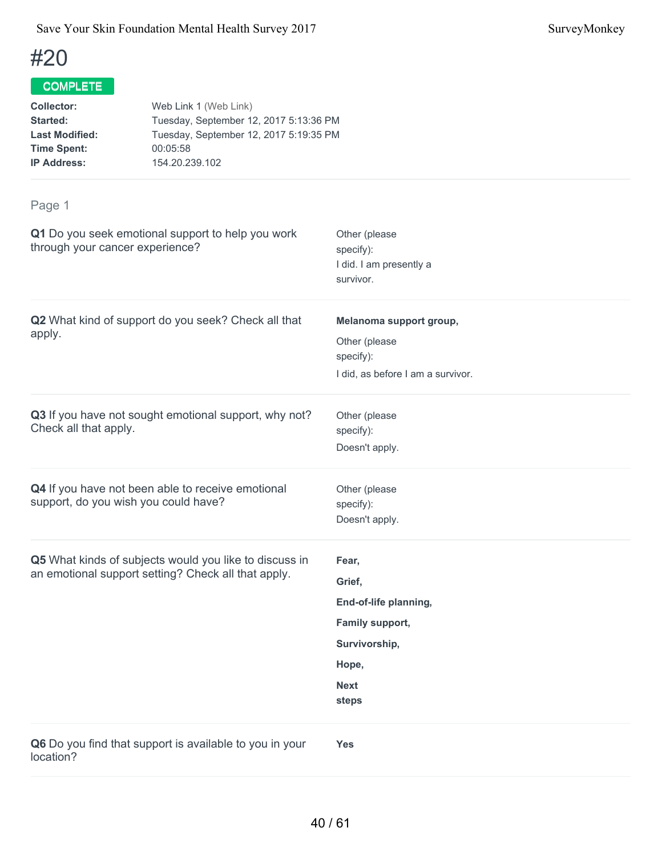## COMPLETE

| <b>Collector:</b>     | Web Link 1 (Web Link)                  |
|-----------------------|----------------------------------------|
| Started:              | Tuesday, September 12, 2017 5:13:36 PM |
| <b>Last Modified:</b> | Tuesday, September 12, 2017 5:19:35 PM |
| <b>Time Spent:</b>    | 00:05:58                               |
| <b>IP Address:</b>    | 154.20.239.102                         |
|                       |                                        |

| Q1 Do you seek emotional support to help you work<br>through your cancer experience?                          | Other (please<br>specify):<br>I did. I am presently a<br>survivor.                                            |
|---------------------------------------------------------------------------------------------------------------|---------------------------------------------------------------------------------------------------------------|
| Q2 What kind of support do you seek? Check all that<br>apply.                                                 | Melanoma support group,<br>Other (please<br>specify):<br>I did, as before I am a survivor.                    |
| Q3 If you have not sought emotional support, why not?<br>Check all that apply.                                | Other (please<br>specify):<br>Doesn't apply.                                                                  |
| Q4 If you have not been able to receive emotional<br>support, do you wish you could have?                     | Other (please<br>specify):<br>Doesn't apply.                                                                  |
| Q5 What kinds of subjects would you like to discuss in<br>an emotional support setting? Check all that apply. | Fear,<br>Grief,<br>End-of-life planning,<br>Family support,<br>Survivorship,<br>Hope,<br><b>Next</b><br>steps |
| Q6 Do you find that support is available to you in your<br>location?                                          | <b>Yes</b>                                                                                                    |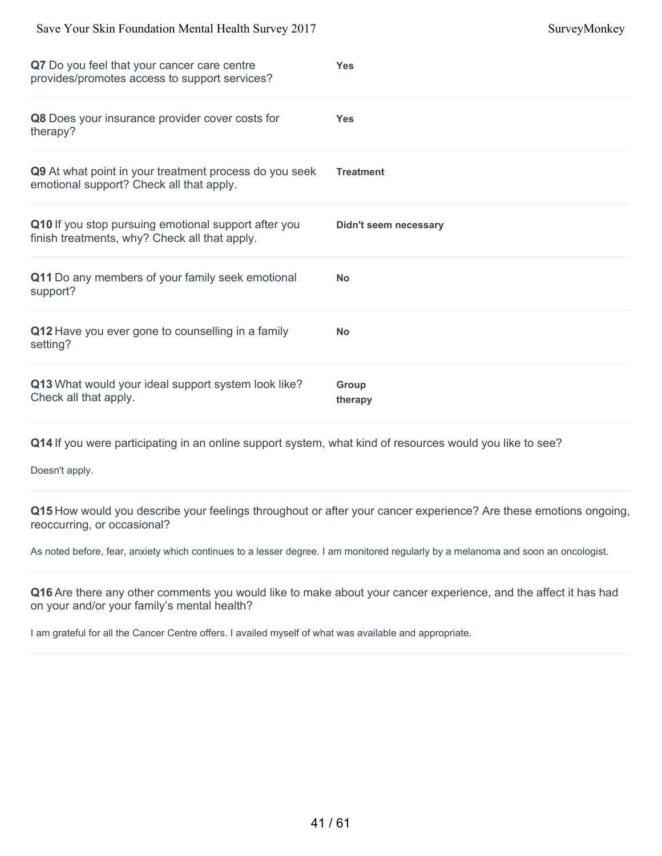| $\beta$ ave Tour DKIII I oundation intenda Ticann Burvey 2017                                         | <b>SUI VUYIVIUIINU Y</b>     |
|-------------------------------------------------------------------------------------------------------|------------------------------|
| Q7 Do you feel that your cancer care centre<br>provides/promotes access to support services?          | <b>Yes</b>                   |
| Q8 Does your insurance provider cover costs for<br>therapy?                                           | <b>Yes</b>                   |
| Q9 At what point in your treatment process do you seek<br>emotional support? Check all that apply.    | <b>Treatment</b>             |
| Q10 If you stop pursuing emotional support after you<br>finish treatments, why? Check all that apply. | <b>Didn't seem necessary</b> |
| Q11 Do any members of your family seek emotional<br>support?                                          | <b>No</b>                    |
| Q12 Have you ever gone to counselling in a family<br>setting?                                         | <b>No</b>                    |
| Q13 What would your ideal support system look like?<br>Check all that apply.                          | <b>Group</b><br>therapy      |

Save Your Skin Foundation Mental Health Survey 2017 SurveyMonkey

**Q14** If you were participating in an online support system, what kind of resources would you like to see?

Doesn't apply.

**Q15** How would you describe your feelings throughout or after your cancer experience? Are these emotions ongoing, reoccurring, or occasional?

As noted before, fear, anxiety which continues to a lesser degree. I am monitored regularly by a melanoma and soon an oncologist.

**Q16** Are there any other comments you would like to make about your cancer experience, and the affect it has had on your and/or your family's mental health?

I am grateful for all the Cancer Centre offers. I availed myself of what was available and appropriate.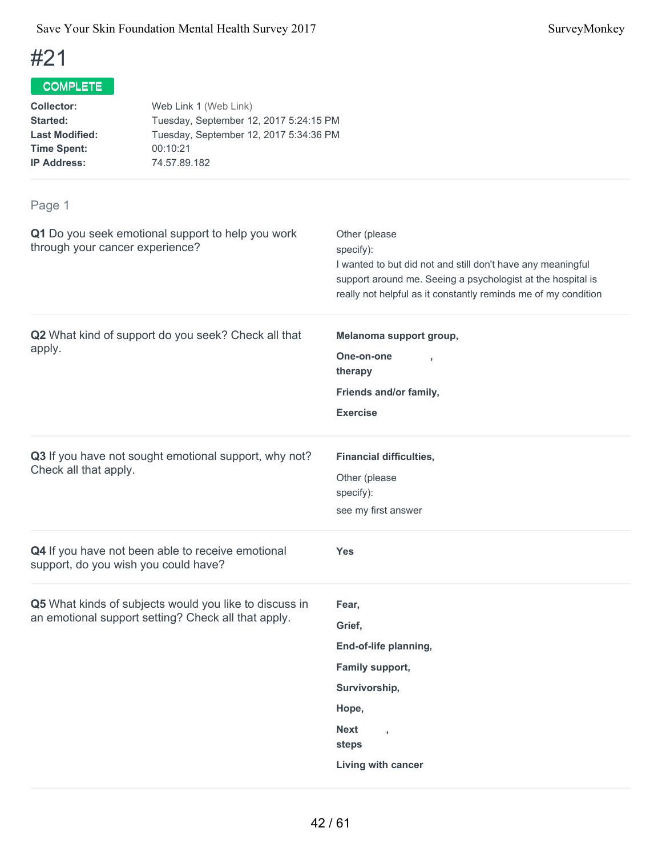## COMPLETE

| <b>Collector:</b>     | Web Link 1 (Web Link)                  |
|-----------------------|----------------------------------------|
| Started:              | Tuesday, September 12, 2017 5:24:15 PM |
| <b>Last Modified:</b> | Tuesday, September 12, 2017 5:34:36 PM |
| <b>Time Spent:</b>    | 00:10:21                               |
| <b>IP Address:</b>    | 74.57.89.182                           |
|                       |                                        |

| Q1 Do you seek emotional support to help you work<br>through your cancer experience?                          | Other (please<br>specify):<br>I wanted to but did not and still don't have any meaningful<br>support around me. Seeing a psychologist at the hospital is<br>really not helpful as it constantly reminds me of my condition |
|---------------------------------------------------------------------------------------------------------------|----------------------------------------------------------------------------------------------------------------------------------------------------------------------------------------------------------------------------|
| Q2 What kind of support do you seek? Check all that<br>apply.                                                 | Melanoma support group,<br>One-on-one<br>therapy<br>Friends and/or family,<br><b>Exercise</b>                                                                                                                              |
| Q3 If you have not sought emotional support, why not?<br>Check all that apply.                                | <b>Financial difficulties,</b><br>Other (please<br>specify):<br>see my first answer                                                                                                                                        |
| Q4 If you have not been able to receive emotional<br>support, do you wish you could have?                     | <b>Yes</b>                                                                                                                                                                                                                 |
| Q5 What kinds of subjects would you like to discuss in<br>an emotional support setting? Check all that apply. | Fear,<br>Grief,<br>End-of-life planning,<br>Family support,<br>Survivorship,<br>Hope,<br><b>Next</b><br>$\overline{1}$<br>steps<br>Living with cancer                                                                      |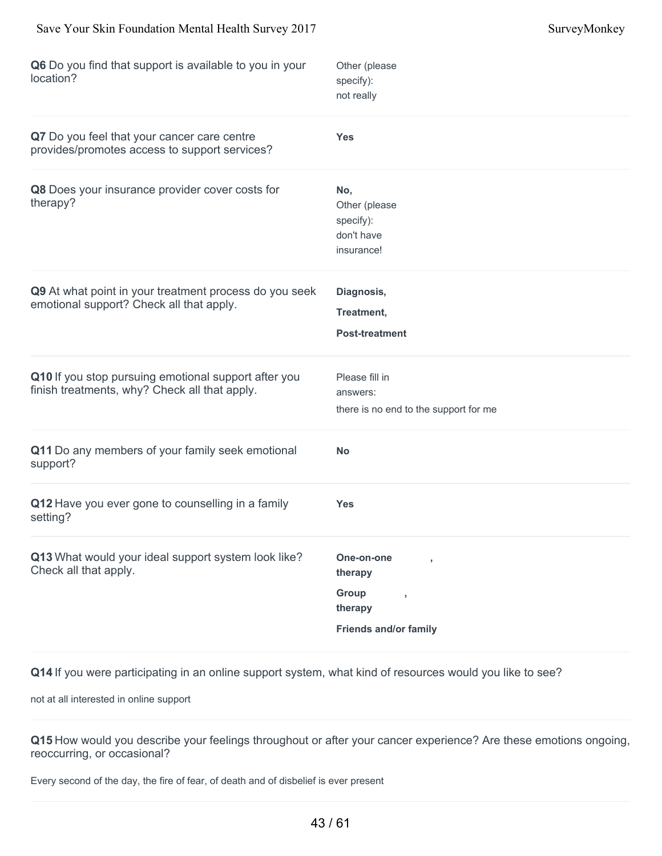| Q6 Do you find that support is available to you in your<br>location?                                  | Other (please<br>specify):<br>not really                                                    |
|-------------------------------------------------------------------------------------------------------|---------------------------------------------------------------------------------------------|
| Q7 Do you feel that your cancer care centre<br>provides/promotes access to support services?          | <b>Yes</b>                                                                                  |
| Q8 Does your insurance provider cover costs for<br>therapy?                                           | No,<br>Other (please<br>specify):<br>don't have<br>insurance!                               |
| Q9 At what point in your treatment process do you seek<br>emotional support? Check all that apply.    | Diagnosis,<br>Treatment,<br><b>Post-treatment</b>                                           |
| Q10 If you stop pursuing emotional support after you<br>finish treatments, why? Check all that apply. | Please fill in<br>answers:<br>there is no end to the support for me                         |
| Q11 Do any members of your family seek emotional<br>support?                                          | <b>No</b>                                                                                   |
| Q12 Have you ever gone to counselling in a family<br>setting?                                         | <b>Yes</b>                                                                                  |
| Q13 What would your ideal support system look like?<br>Check all that apply.                          | One-on-one<br>therapy<br>Group<br>$\overline{1}$<br>therapy<br><b>Friends and/or family</b> |

not at all interested in online support

**Q15** How would you describe your feelings throughout or after your cancer experience? Are these emotions ongoing, reoccurring, or occasional?

Every second of the day, the fire of fear, of death and of disbelief is ever present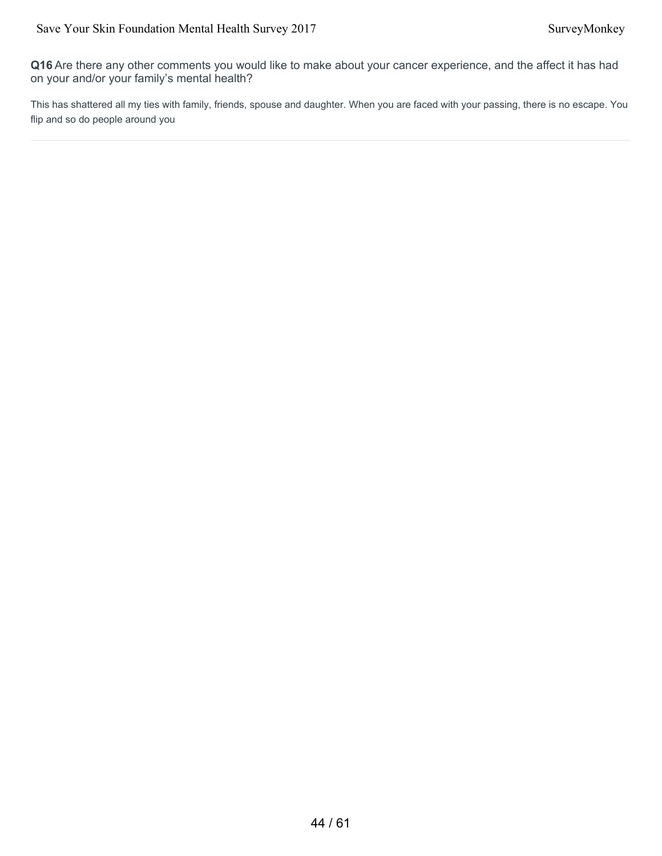**Q16** Are there any other comments you would like to make about your cancer experience, and the affect it has had on your and/or your family's mental health?

This has shattered all my ties with family, friends, spouse and daughter. When you are faced with your passing, there is no escape. You flip and so do people around you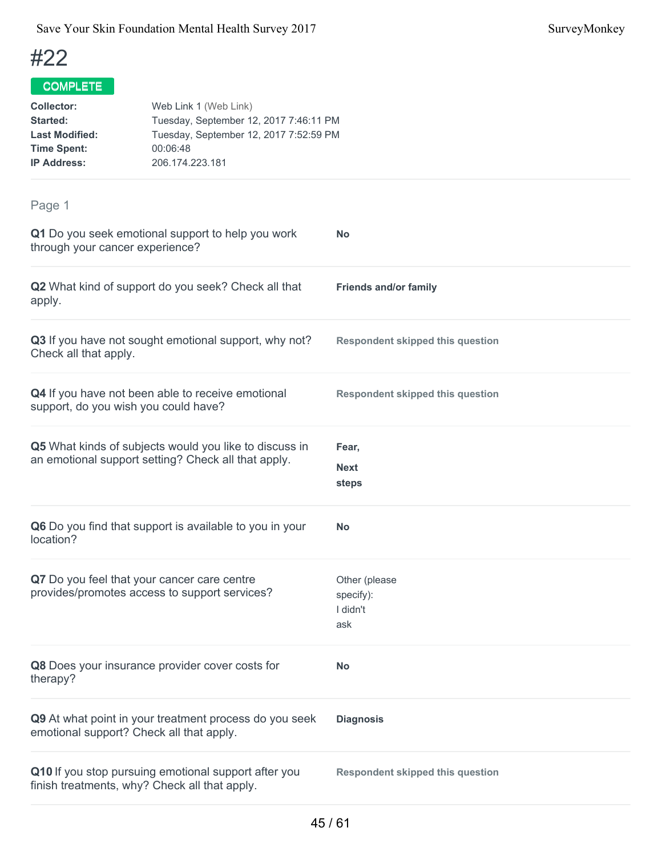| <b>Collector:</b><br><b>Started:</b><br><b>Last Modified:</b><br><b>Time Spent:</b><br><b>IP Address:</b> | Web Link 1 (Web Link)<br>Tuesday, September 12, 2017 7:46:11 PM<br>Tuesday, September 12, 2017 7:52:59 PM<br>00:06:48<br>206.174.223.181 |                                               |
|-----------------------------------------------------------------------------------------------------------|------------------------------------------------------------------------------------------------------------------------------------------|-----------------------------------------------|
| Page 1                                                                                                    |                                                                                                                                          |                                               |
| through your cancer experience?                                                                           | Q1 Do you seek emotional support to help you work                                                                                        | No                                            |
| apply.                                                                                                    | Q2 What kind of support do you seek? Check all that                                                                                      | <b>Friends and/or family</b>                  |
| Check all that apply.                                                                                     | Q3 If you have not sought emotional support, why not?                                                                                    | <b>Respondent skipped this question</b>       |
| support, do you wish you could have?                                                                      | Q4 If you have not been able to receive emotional                                                                                        | <b>Respondent skipped this question</b>       |
|                                                                                                           | Q5 What kinds of subjects would you like to discuss in<br>an emotional support setting? Check all that apply.                            | Fear,<br>Next<br>steps                        |
| location?                                                                                                 | Q6 Do you find that support is available to you in your                                                                                  | <b>No</b>                                     |
| Q7 Do you feel that your cancer care centre                                                               | provides/promotes access to support services?                                                                                            | Other (please<br>specify):<br>I didn't<br>ask |
| therapy?                                                                                                  | Q8 Does your insurance provider cover costs for                                                                                          | <b>No</b>                                     |
| emotional support? Check all that apply.                                                                  | Q9 At what point in your treatment process do you seek                                                                                   | <b>Diagnosis</b>                              |
| finish treatments, why? Check all that apply.                                                             | Q10 If you stop pursuing emotional support after you                                                                                     | <b>Respondent skipped this question</b>       |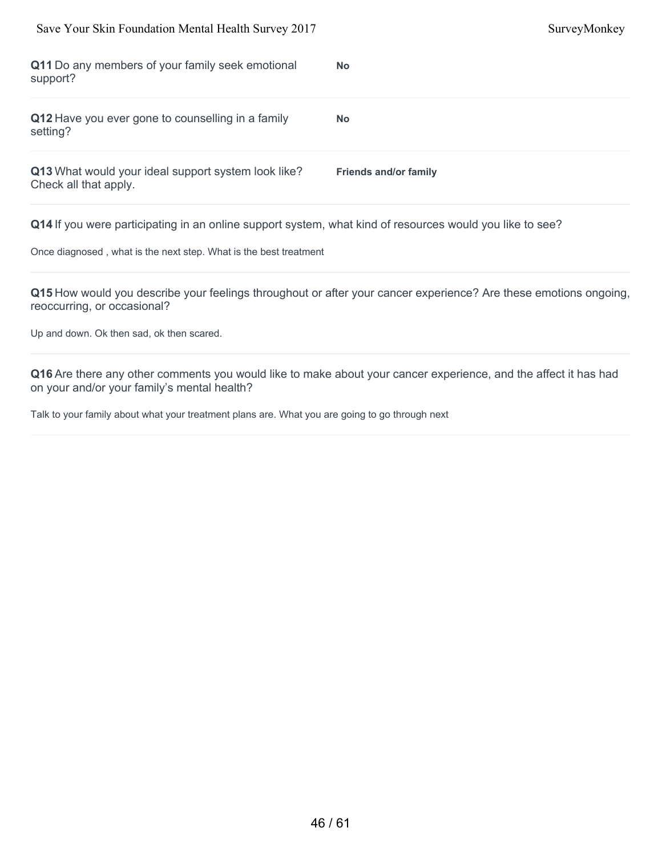| Save Your Skin Foundation Mental Health Survey 2017                          |                              | SurveyMonkey |
|------------------------------------------------------------------------------|------------------------------|--------------|
| Q11 Do any members of your family seek emotional<br>support?                 | <b>No</b>                    |              |
| Q12 Have you ever gone to counselling in a family<br>setting?                | <b>No</b>                    |              |
| Q13 What would your ideal support system look like?<br>Check all that apply. | <b>Friends and/or family</b> |              |
|                                                                              |                              |              |

Once diagnosed , what is the next step. What is the best treatment

**Q15** How would you describe your feelings throughout or after your cancer experience? Are these emotions ongoing, reoccurring, or occasional?

Up and down. Ok then sad, ok then scared.

**Q16** Are there any other comments you would like to make about your cancer experience, and the affect it has had on your and/or your family's mental health?

Talk to your family about what your treatment plans are. What you are going to go through next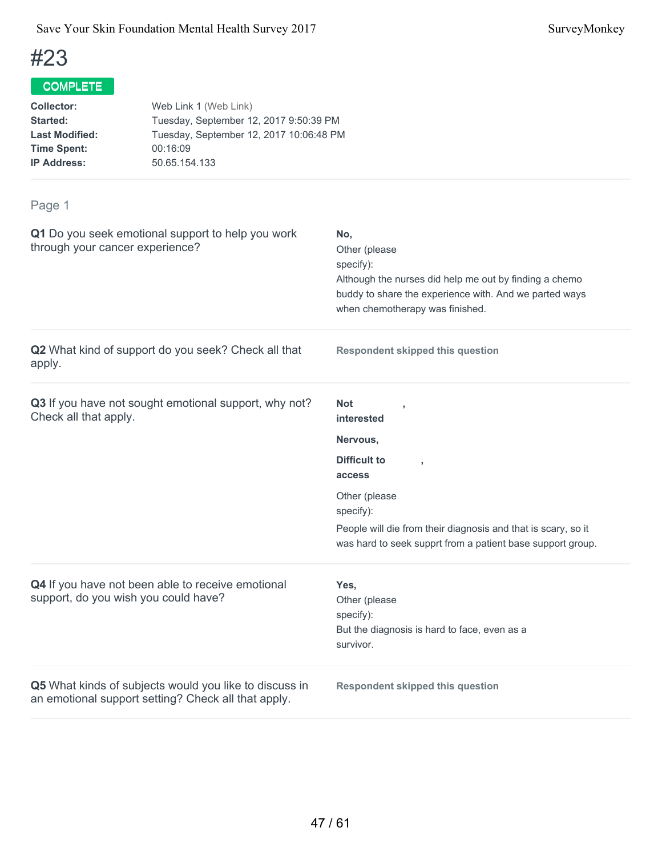## COMPLETE

| <b>Collector:</b>     | Web Link 1 (Web Link)                   |
|-----------------------|-----------------------------------------|
| Started:              | Tuesday, September 12, 2017 9:50:39 PM  |
| <b>Last Modified:</b> | Tuesday, September 12, 2017 10:06:48 PM |
| <b>Time Spent:</b>    | 00:16:09                                |
| <b>IP Address:</b>    | 50.65.154.133                           |
|                       |                                         |

| Q1 Do you seek emotional support to help you work<br>through your cancer experience?                          | No,<br>Other (please<br>specify):<br>Although the nurses did help me out by finding a chemo<br>buddy to share the experience with. And we parted ways<br>when chemotherapy was finished. |
|---------------------------------------------------------------------------------------------------------------|------------------------------------------------------------------------------------------------------------------------------------------------------------------------------------------|
| Q2 What kind of support do you seek? Check all that<br>apply.                                                 | <b>Respondent skipped this question</b>                                                                                                                                                  |
| Q3 If you have not sought emotional support, why not?<br>Check all that apply.                                | <b>Not</b><br>interested                                                                                                                                                                 |
|                                                                                                               | Nervous,                                                                                                                                                                                 |
|                                                                                                               | <b>Difficult to</b><br>$\overline{1}$<br>access                                                                                                                                          |
|                                                                                                               | Other (please<br>specify):                                                                                                                                                               |
|                                                                                                               | People will die from their diagnosis and that is scary, so it<br>was hard to seek supprt from a patient base support group.                                                              |
| Q4 If you have not been able to receive emotional<br>support, do you wish you could have?                     | Yes.<br>Other (please<br>specify):<br>But the diagnosis is hard to face, even as a<br>survivor.                                                                                          |
| Q5 What kinds of subjects would you like to discuss in<br>an emotional support setting? Check all that apply. | <b>Respondent skipped this question</b>                                                                                                                                                  |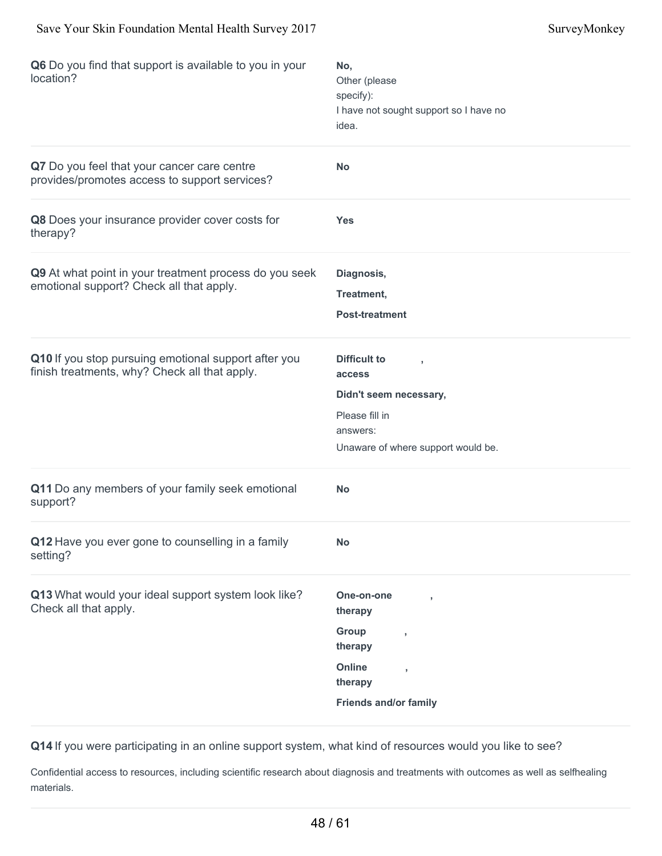| Q6 Do you find that support is available to you in your<br>location?                                  | No,<br>Other (please<br>specify):<br>I have not sought support so I have no<br>idea.                                                                   |
|-------------------------------------------------------------------------------------------------------|--------------------------------------------------------------------------------------------------------------------------------------------------------|
| Q7 Do you feel that your cancer care centre<br>provides/promotes access to support services?          | No                                                                                                                                                     |
| Q8 Does your insurance provider cover costs for<br>therapy?                                           | <b>Yes</b>                                                                                                                                             |
| Q9 At what point in your treatment process do you seek<br>emotional support? Check all that apply.    | Diagnosis,<br>Treatment,<br><b>Post-treatment</b>                                                                                                      |
| Q10 If you stop pursuing emotional support after you<br>finish treatments, why? Check all that apply. | <b>Difficult to</b><br>access<br>Didn't seem necessary,<br>Please fill in<br>answers:<br>Unaware of where support would be.                            |
| Q11 Do any members of your family seek emotional<br>support?                                          | <b>No</b>                                                                                                                                              |
| Q12 Have you ever gone to counselling in a family<br>setting?                                         | No                                                                                                                                                     |
| Q13 What would your ideal support system look like?<br>Check all that apply.                          | One-on-one<br>therapy<br>Group<br>$\overline{\phantom{a}}$<br>therapy<br>Online<br>$\overline{\phantom{a}}$<br>therapy<br><b>Friends and/or family</b> |

Confidential access to resources, including scientific research about diagnosis and treatments with outcomes as well as selfhealing materials.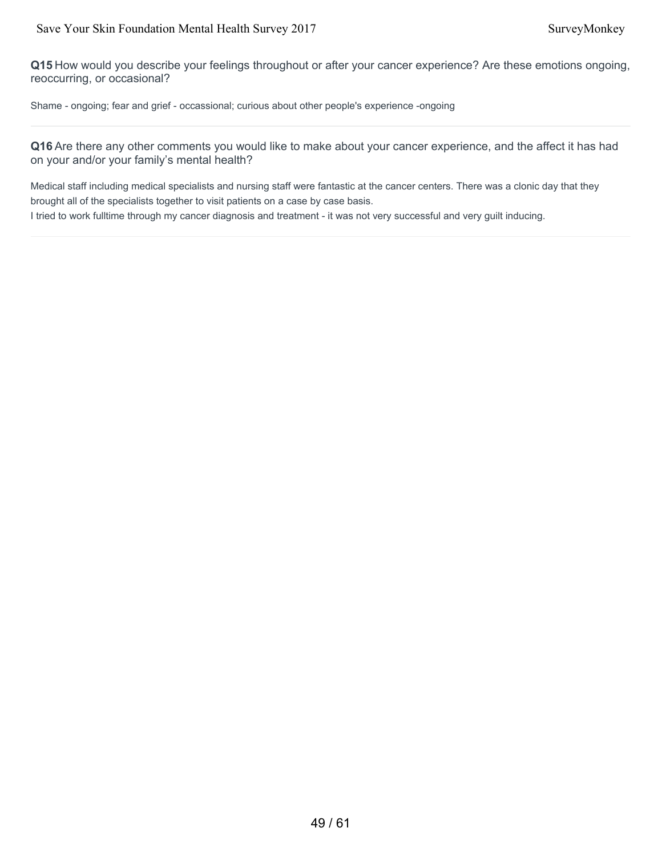**Q15** How would you describe your feelings throughout or after your cancer experience? Are these emotions ongoing, reoccurring, or occasional?

Shame - ongoing; fear and grief - occassional; curious about other people's experience -ongoing

**Q16** Are there any other comments you would like to make about your cancer experience, and the affect it has had on your and/or your family's mental health?

Medical staff including medical specialists and nursing staff were fantastic at the cancer centers. There was a clonic day that they brought all of the specialists together to visit patients on a case by case basis.

I tried to work fulltime through my cancer diagnosis and treatment - it was not very successful and very guilt inducing.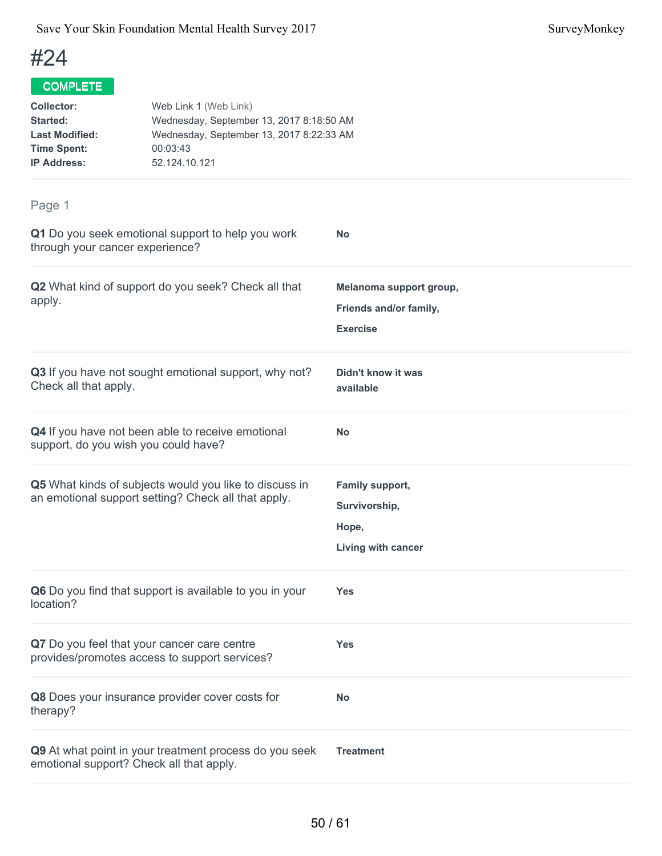## COMPLETE

| <b>Collector:</b>     | Web Link 1 (Web Link)                    |
|-----------------------|------------------------------------------|
| Started:              | Wednesday, September 13, 2017 8:18:50 AM |
| <b>Last Modified:</b> | Wednesday, September 13, 2017 8:22:33 AM |
| <b>Time Spent:</b>    | 00:03:43                                 |
| <b>IP Address:</b>    | 52.124.10.121                            |
|                       |                                          |

| Q1 Do you seek emotional support to help you work<br>through your cancer experience?                          | <b>No</b>                                                            |
|---------------------------------------------------------------------------------------------------------------|----------------------------------------------------------------------|
| Q2 What kind of support do you seek? Check all that<br>apply.                                                 | Melanoma support group,<br>Friends and/or family,<br><b>Exercise</b> |
| Q3 If you have not sought emotional support, why not?<br>Check all that apply.                                | Didn't know it was<br>available                                      |
| Q4 If you have not been able to receive emotional<br>support, do you wish you could have?                     | <b>No</b>                                                            |
| Q5 What kinds of subjects would you like to discuss in<br>an emotional support setting? Check all that apply. | Family support,<br>Survivorship,<br>Hope,<br>Living with cancer      |
| Q6 Do you find that support is available to you in your<br>location?                                          | Yes                                                                  |
| Q7 Do you feel that your cancer care centre<br>provides/promotes access to support services?                  | <b>Yes</b>                                                           |
| Q8 Does your insurance provider cover costs for<br>therapy?                                                   | <b>No</b>                                                            |
| Q9 At what point in your treatment process do you seek<br>emotional support? Check all that apply.            | <b>Treatment</b>                                                     |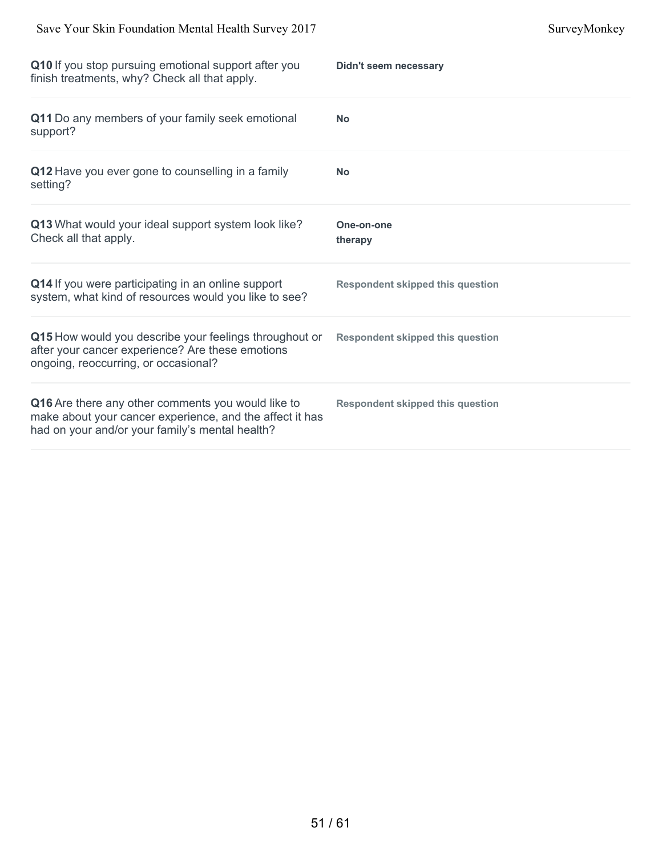| Q10 If you stop pursuing emotional support after you<br>finish treatments, why? Check all that apply.                                                             | Didn't seem necessary                   |
|-------------------------------------------------------------------------------------------------------------------------------------------------------------------|-----------------------------------------|
| Q11 Do any members of your family seek emotional<br>support?                                                                                                      | <b>No</b>                               |
| Q12 Have you ever gone to counselling in a family<br>setting?                                                                                                     | <b>No</b>                               |
| Q13 What would your ideal support system look like?<br>Check all that apply.                                                                                      | One-on-one<br>therapy                   |
| Q14 If you were participating in an online support<br>system, what kind of resources would you like to see?                                                       | <b>Respondent skipped this question</b> |
| Q15 How would you describe your feelings throughout or<br>after your cancer experience? Are these emotions<br>ongoing, reoccurring, or occasional?                | <b>Respondent skipped this question</b> |
| Q16 Are there any other comments you would like to<br>make about your cancer experience, and the affect it has<br>had on your and/or your family's mental health? | <b>Respondent skipped this question</b> |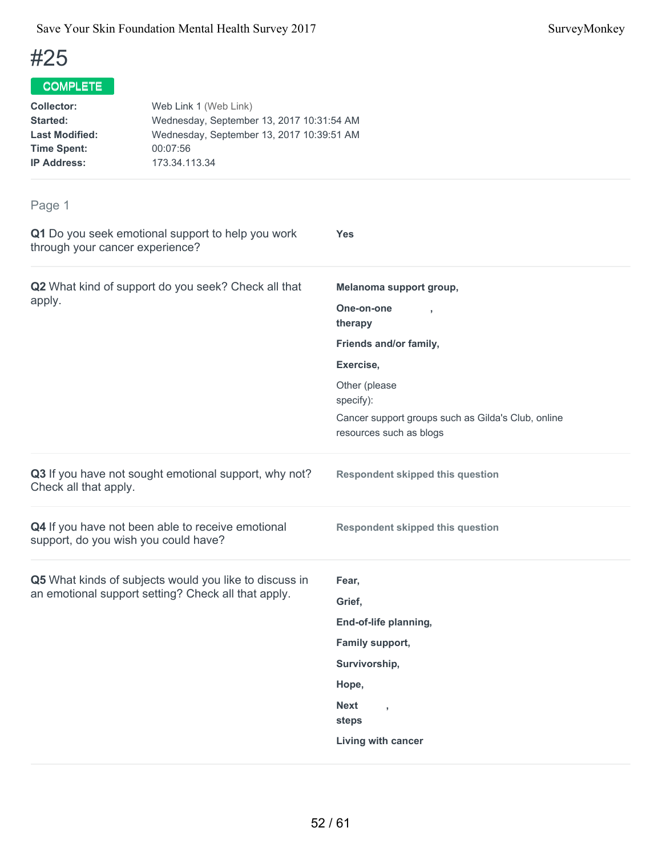## COMPLETE

| <b>Collector:</b>     | Web Link 1 (Web Link)                     |
|-----------------------|-------------------------------------------|
| Started:              | Wednesday, September 13, 2017 10:31:54 AM |
| <b>Last Modified:</b> | Wednesday, September 13, 2017 10:39:51 AM |
| <b>Time Spent:</b>    | 00:07:56                                  |
| <b>IP Address:</b>    | 173.34.113.34                             |
|                       |                                           |

| ı ayu i                                                                                                       |                                                                               |
|---------------------------------------------------------------------------------------------------------------|-------------------------------------------------------------------------------|
| Q1 Do you seek emotional support to help you work<br>through your cancer experience?                          | <b>Yes</b>                                                                    |
| Q2 What kind of support do you seek? Check all that                                                           | Melanoma support group,                                                       |
| apply.                                                                                                        | One-on-one<br>therapy                                                         |
|                                                                                                               | Friends and/or family,                                                        |
|                                                                                                               | Exercise,                                                                     |
|                                                                                                               | Other (please<br>specify):                                                    |
|                                                                                                               | Cancer support groups such as Gilda's Club, online<br>resources such as blogs |
| Q3 If you have not sought emotional support, why not?<br>Check all that apply.                                | <b>Respondent skipped this question</b>                                       |
| Q4 If you have not been able to receive emotional<br>support, do you wish you could have?                     | <b>Respondent skipped this question</b>                                       |
| Q5 What kinds of subjects would you like to discuss in<br>an emotional support setting? Check all that apply. | Fear,                                                                         |
|                                                                                                               | Grief,                                                                        |
|                                                                                                               | End-of-life planning,                                                         |
|                                                                                                               | Family support,                                                               |
|                                                                                                               | Survivorship,                                                                 |
|                                                                                                               | Hope,                                                                         |
|                                                                                                               | <b>Next</b><br>$\overline{1}$<br>steps                                        |
|                                                                                                               | Living with cancer                                                            |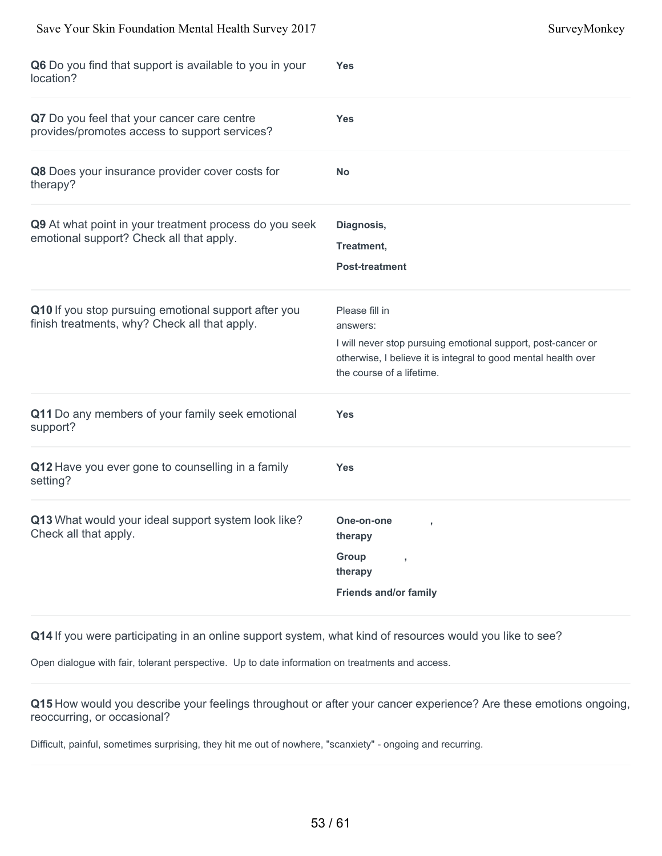| Q6 Do you find that support is available to you in your<br>location?                                  | <b>Yes</b>                                                                                                                                                                                |
|-------------------------------------------------------------------------------------------------------|-------------------------------------------------------------------------------------------------------------------------------------------------------------------------------------------|
| Q7 Do you feel that your cancer care centre<br>provides/promotes access to support services?          | <b>Yes</b>                                                                                                                                                                                |
| Q8 Does your insurance provider cover costs for<br>therapy?                                           | <b>No</b>                                                                                                                                                                                 |
| Q9 At what point in your treatment process do you seek<br>emotional support? Check all that apply.    | Diagnosis,<br>Treatment,<br><b>Post-treatment</b>                                                                                                                                         |
| Q10 If you stop pursuing emotional support after you<br>finish treatments, why? Check all that apply. | Please fill in<br>answers:<br>I will never stop pursuing emotional support, post-cancer or<br>otherwise, I believe it is integral to good mental health over<br>the course of a lifetime. |
| Q11 Do any members of your family seek emotional<br>support?                                          | <b>Yes</b>                                                                                                                                                                                |
| Q12 Have you ever gone to counselling in a family<br>setting?                                         | <b>Yes</b>                                                                                                                                                                                |
| Q13 What would your ideal support system look like?<br>Check all that apply.                          | One-on-one<br>therapy<br>Group<br>$\bar{z}$<br>therapy<br><b>Friends and/or family</b>                                                                                                    |

Save Your Skin Foundation Mental Health Survey 2017 Survey Monkey

**Q14** If you were participating in an online support system, what kind of resources would you like to see?

Open dialogue with fair, tolerant perspective. Up to date information on treatments and access.

**Q15** How would you describe your feelings throughout or after your cancer experience? Are these emotions ongoing, reoccurring, or occasional?

Difficult, painful, sometimes surprising, they hit me out of nowhere, "scanxiety" - ongoing and recurring.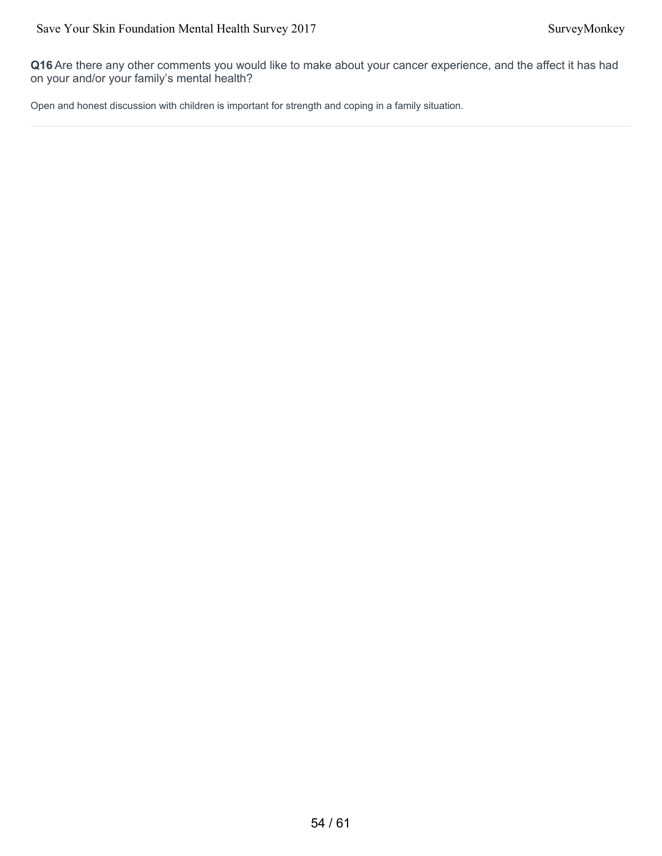**Q16** Are there any other comments you would like to make about your cancer experience, and the affect it has had on your and/or your family's mental health?

Open and honest discussion with children is important for strength and coping in a family situation.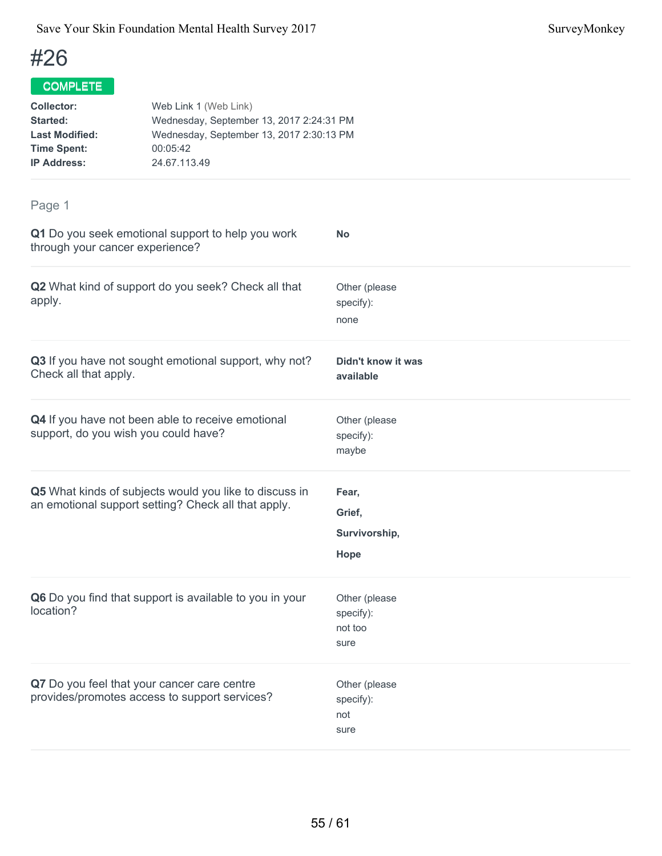## COMPLETE

| <b>Collector:</b>     | Web Link 1 (Web Link)                    |
|-----------------------|------------------------------------------|
| Started:              | Wednesday, September 13, 2017 2:24:31 PM |
| <b>Last Modified:</b> | Wednesday, September 13, 2017 2:30:13 PM |
| <b>Time Spent:</b>    | 00:05:42                                 |
| <b>IP Address:</b>    | 24.67.113.49                             |
|                       |                                          |

| Q1 Do you seek emotional support to help you work<br>through your cancer experience?                          | <b>No</b>                                     |
|---------------------------------------------------------------------------------------------------------------|-----------------------------------------------|
| Q2 What kind of support do you seek? Check all that<br>apply.                                                 | Other (please<br>specify):<br>none            |
| Q3 If you have not sought emotional support, why not?<br>Check all that apply.                                | Didn't know it was<br>available               |
| Q4 If you have not been able to receive emotional<br>support, do you wish you could have?                     | Other (please<br>specify):<br>maybe           |
| Q5 What kinds of subjects would you like to discuss in<br>an emotional support setting? Check all that apply. | Fear,<br>Grief,<br>Survivorship,<br>Hope      |
| Q6 Do you find that support is available to you in your<br>location?                                          | Other (please<br>specify):<br>not too<br>sure |
| Q7 Do you feel that your cancer care centre<br>provides/promotes access to support services?                  | Other (please<br>specify):<br>not<br>sure     |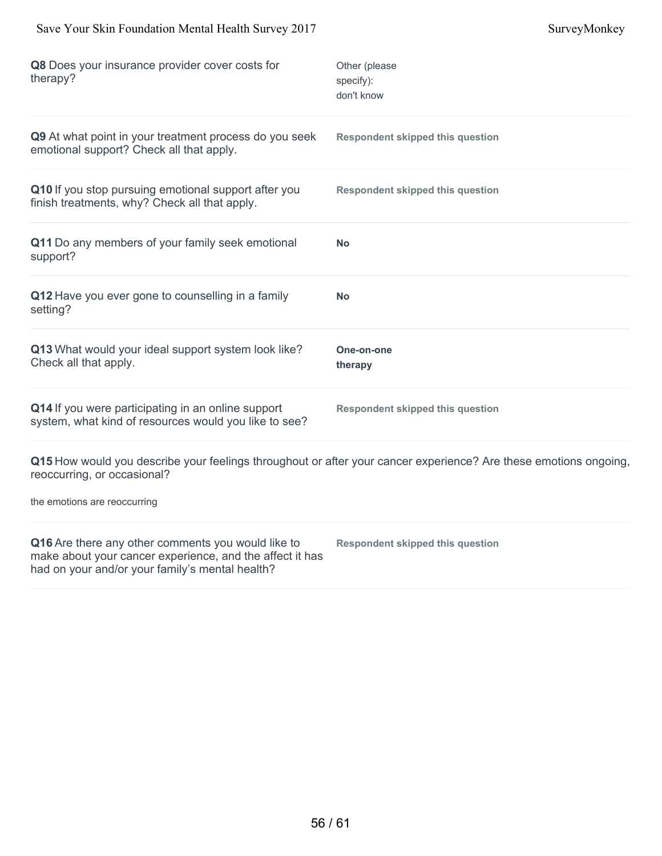had on your and/or your family's mental health?

| Q8 Does your insurance provider cover costs for<br>therapy?                                                    | Other (please<br>specify):<br>don't know                                                                         |
|----------------------------------------------------------------------------------------------------------------|------------------------------------------------------------------------------------------------------------------|
| Q9 At what point in your treatment process do you seek<br>emotional support? Check all that apply.             | <b>Respondent skipped this question</b>                                                                          |
| Q10 If you stop pursuing emotional support after you<br>finish treatments, why? Check all that apply.          | <b>Respondent skipped this question</b>                                                                          |
| Q11 Do any members of your family seek emotional<br>support?                                                   | No                                                                                                               |
| Q12 Have you ever gone to counselling in a family<br>setting?                                                  | <b>No</b>                                                                                                        |
| Q13 What would your ideal support system look like?<br>Check all that apply.                                   | One-on-one<br>therapy                                                                                            |
| Q14 If you were participating in an online support<br>system, what kind of resources would you like to see?    | <b>Respondent skipped this question</b>                                                                          |
| reoccurring, or occasional?                                                                                    | Q15 How would you describe your feelings throughout or after your cancer experience? Are these emotions ongoing, |
| the emotions are reoccurring                                                                                   |                                                                                                                  |
| Q16 Are there any other comments you would like to<br>make about your cancer experience, and the affect it has | <b>Respondent skipped this question</b>                                                                          |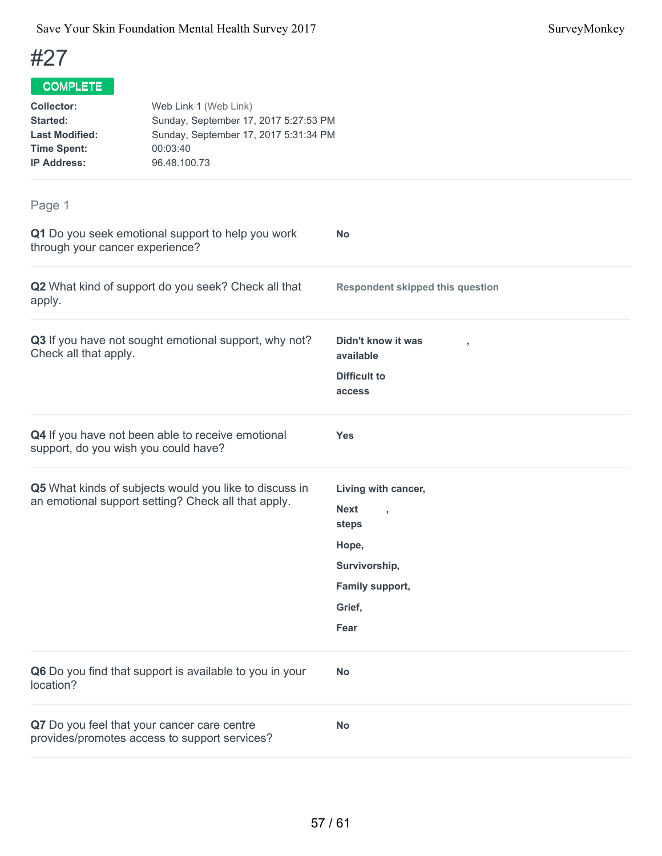| <b>Collector:</b><br><b>Started:</b><br><b>Last Modified:</b><br><b>Time Spent:</b><br><b>IP Address:</b> | Web Link 1 (Web Link)<br>Sunday, September 17, 2017 5:27:53 PM<br>Sunday, September 17, 2017 5:31:34 PM<br>00:03:40<br>96.48.100.73 |                                                        |  |
|-----------------------------------------------------------------------------------------------------------|-------------------------------------------------------------------------------------------------------------------------------------|--------------------------------------------------------|--|
| Page 1                                                                                                    |                                                                                                                                     |                                                        |  |
| through your cancer experience?                                                                           | Q1 Do you seek emotional support to help you work                                                                                   | <b>No</b>                                              |  |
| apply.                                                                                                    | Q2 What kind of support do you seek? Check all that                                                                                 | <b>Respondent skipped this question</b>                |  |
| Check all that apply.                                                                                     | Q3 If you have not sought emotional support, why not?                                                                               | Didn't know it was<br>available<br><b>Difficult to</b> |  |
|                                                                                                           |                                                                                                                                     | access                                                 |  |
| support, do you wish you could have?                                                                      | Q4 If you have not been able to receive emotional                                                                                   | <b>Yes</b>                                             |  |
|                                                                                                           | Q5 What kinds of subjects would you like to discuss in<br>an emotional support setting? Check all that apply.                       | Living with cancer,<br><b>Next</b><br>steps            |  |
|                                                                                                           |                                                                                                                                     | Hope,                                                  |  |
|                                                                                                           |                                                                                                                                     | Survivorship,                                          |  |
|                                                                                                           |                                                                                                                                     | Family support,                                        |  |
|                                                                                                           |                                                                                                                                     | Grief,                                                 |  |
|                                                                                                           |                                                                                                                                     | Fear                                                   |  |
| location?                                                                                                 | Q6 Do you find that support is available to you in your                                                                             | <b>No</b>                                              |  |
|                                                                                                           | Q7 Do you feel that your cancer care centre<br>provides/promotes access to support services?                                        | <b>No</b>                                              |  |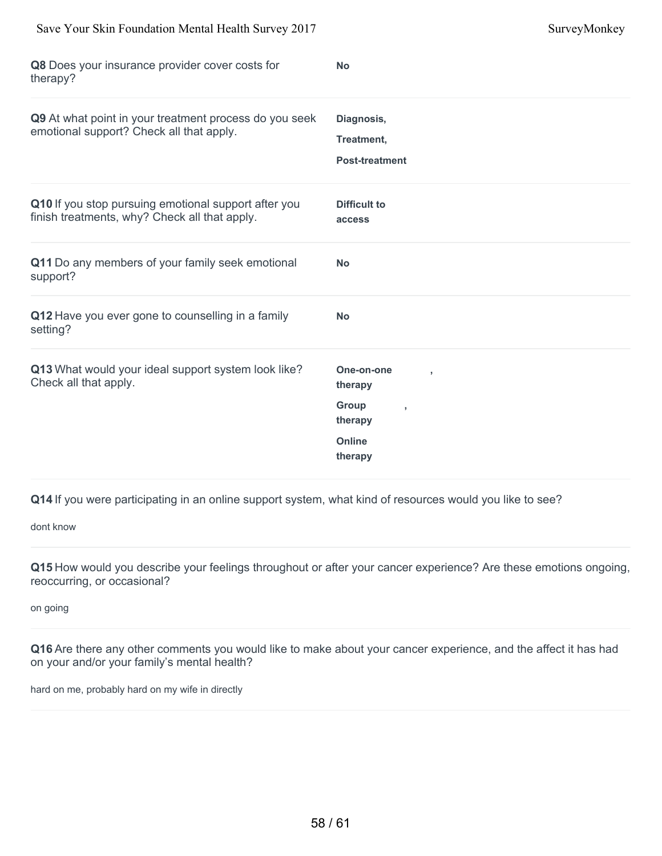| Save Your Skin Foundation Mental Health Survey 2017                                                   |                                                                       | SurveyMonkey |
|-------------------------------------------------------------------------------------------------------|-----------------------------------------------------------------------|--------------|
| Q8 Does your insurance provider cover costs for<br>therapy?                                           | <b>No</b>                                                             |              |
| Q9 At what point in your treatment process do you seek<br>emotional support? Check all that apply.    | Diagnosis,<br>Treatment,<br><b>Post-treatment</b>                     |              |
| Q10 If you stop pursuing emotional support after you<br>finish treatments, why? Check all that apply. | <b>Difficult to</b><br>access                                         |              |
| Q11 Do any members of your family seek emotional<br>support?                                          | <b>No</b>                                                             |              |
| Q12 Have you ever gone to counselling in a family<br>setting?                                         | <b>No</b>                                                             |              |
| Q13 What would your ideal support system look like?<br>Check all that apply.                          | One-on-one<br>therapy<br>Group<br>therapy<br><b>Online</b><br>therapy |              |
|                                                                                                       |                                                                       |              |

dont know

**Q15** How would you describe your feelings throughout or after your cancer experience? Are these emotions ongoing, reoccurring, or occasional?

on going

**Q16** Are there any other comments you would like to make about your cancer experience, and the affect it has had on your and/or your family's mental health?

hard on me, probably hard on my wife in directly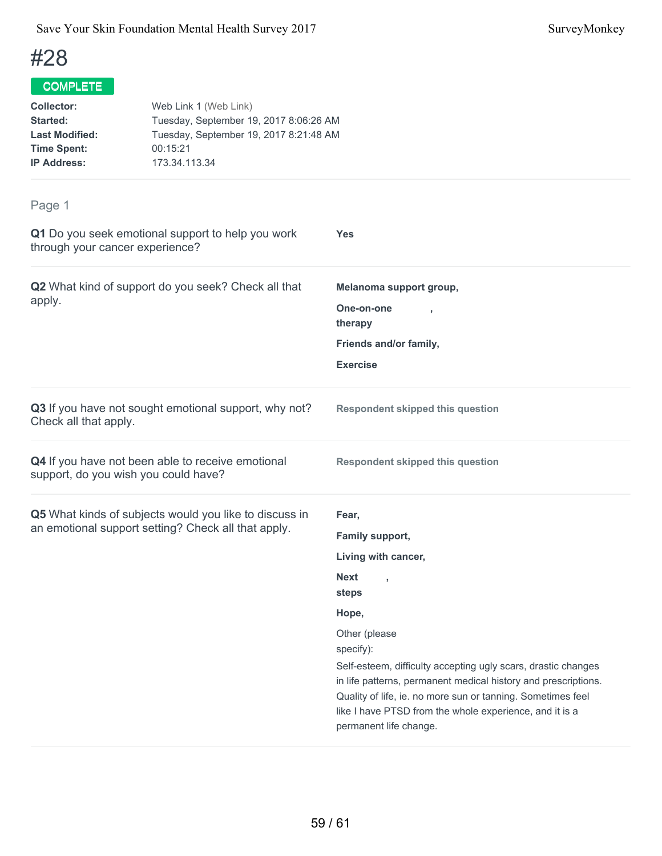## COMPLETE

| <b>Collector:</b>     | Web Link 1 (Web Link)                  |
|-----------------------|----------------------------------------|
| Started:              | Tuesday, September 19, 2017 8:06:26 AM |
| <b>Last Modified:</b> | Tuesday, September 19, 2017 8:21:48 AM |
| <b>Time Spent:</b>    | 00:15:21                               |
| <b>IP Address:</b>    | 173.34.113.34                          |
|                       |                                        |

| Q1 Do you seek emotional support to help you work<br>through your cancer experience?                          | Yes                                                                                                                                                                                                                                                                                                                                                                                                   |
|---------------------------------------------------------------------------------------------------------------|-------------------------------------------------------------------------------------------------------------------------------------------------------------------------------------------------------------------------------------------------------------------------------------------------------------------------------------------------------------------------------------------------------|
| Q2 What kind of support do you seek? Check all that<br>apply.                                                 | Melanoma support group,<br>One-on-one<br>therapy<br>Friends and/or family,<br><b>Exercise</b>                                                                                                                                                                                                                                                                                                         |
| Q3 If you have not sought emotional support, why not?<br>Check all that apply.                                | <b>Respondent skipped this question</b>                                                                                                                                                                                                                                                                                                                                                               |
| Q4 If you have not been able to receive emotional<br>support, do you wish you could have?                     | <b>Respondent skipped this question</b>                                                                                                                                                                                                                                                                                                                                                               |
| Q5 What kinds of subjects would you like to discuss in<br>an emotional support setting? Check all that apply. | Fear,<br>Family support,<br>Living with cancer,<br><b>Next</b><br>steps<br>Hope,<br>Other (please<br>specify):<br>Self-esteem, difficulty accepting ugly scars, drastic changes<br>in life patterns, permanent medical history and prescriptions.<br>Quality of life, ie. no more sun or tanning. Sometimes feel<br>like I have PTSD from the whole experience, and it is a<br>permanent life change. |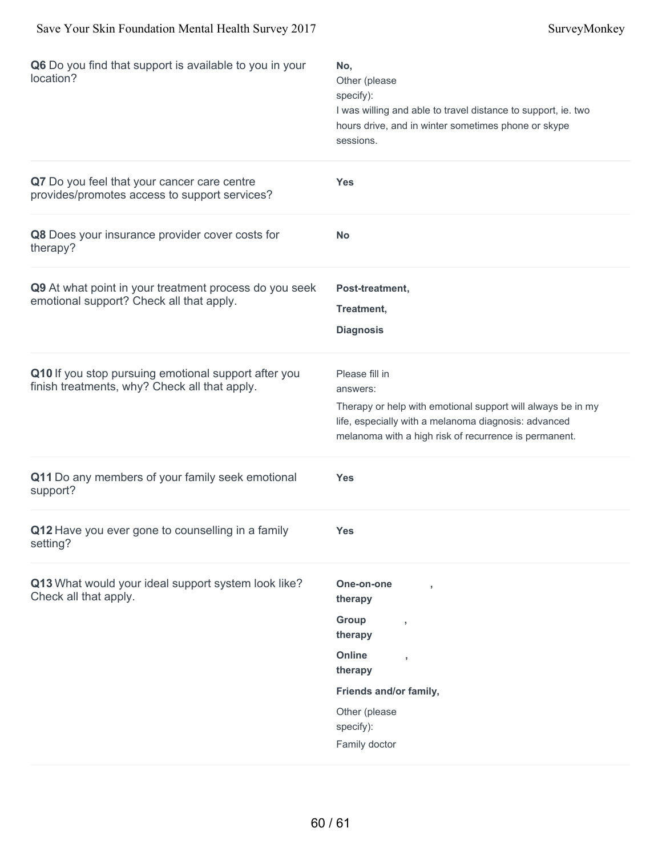| Q6 Do you find that support is available to you in your<br>location?                                  | No,<br>Other (please<br>specify):<br>I was willing and able to travel distance to support, ie. two<br>hours drive, and in winter sometimes phone or skype<br>sessions.                                     |
|-------------------------------------------------------------------------------------------------------|------------------------------------------------------------------------------------------------------------------------------------------------------------------------------------------------------------|
| Q7 Do you feel that your cancer care centre<br>provides/promotes access to support services?          | <b>Yes</b>                                                                                                                                                                                                 |
| Q8 Does your insurance provider cover costs for<br>therapy?                                           | <b>No</b>                                                                                                                                                                                                  |
| Q9 At what point in your treatment process do you seek<br>emotional support? Check all that apply.    | Post-treatment,<br>Treatment,<br><b>Diagnosis</b>                                                                                                                                                          |
| Q10 If you stop pursuing emotional support after you<br>finish treatments, why? Check all that apply. | Please fill in<br>answers:<br>Therapy or help with emotional support will always be in my<br>life, especially with a melanoma diagnosis: advanced<br>melanoma with a high risk of recurrence is permanent. |
| Q11 Do any members of your family seek emotional<br>support?                                          | <b>Yes</b>                                                                                                                                                                                                 |
| Q12 Have you ever gone to counselling in a family<br>setting?                                         | <b>Yes</b>                                                                                                                                                                                                 |
| Q13 What would your ideal support system look like?<br>Check all that apply.                          | One-on-one<br>therapy<br>Group<br>y<br>therapy<br><b>Online</b><br>$\overline{1}$<br>therapy<br>Friends and/or family,<br>Other (please<br>specify):<br>Family doctor                                      |